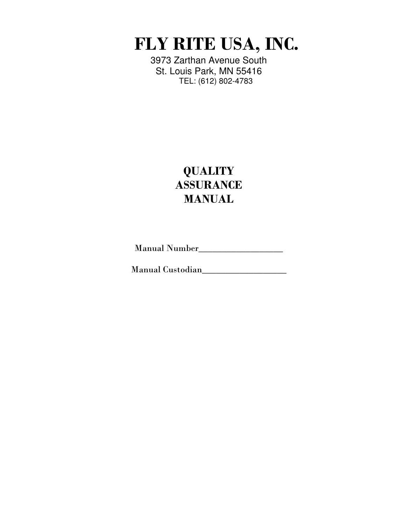FLY RITE USA, INC.

3973 Zarthan Avenue South St. Louis Park, MN 55416 TEL: (612) 802-4783

# **QUALITY ASSURANCE** MANUAL

Manual Number\_\_\_\_\_\_\_\_\_\_\_\_\_\_\_\_\_\_

Manual Custodian\_\_\_\_\_\_\_\_\_\_\_\_\_\_\_\_\_\_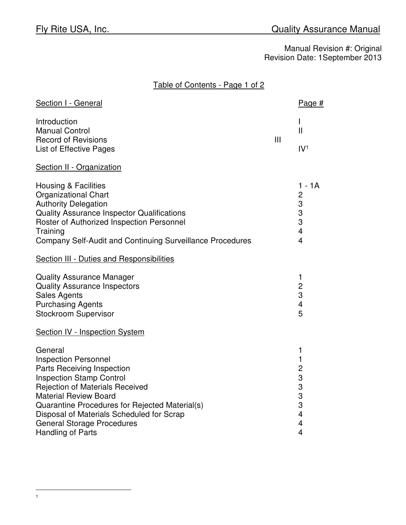Table of Contents - Page 1 of 2

| Section I - General                                                                                                                                                                                                                                                                                                                        |     | Page#                                                                                                                                            |
|--------------------------------------------------------------------------------------------------------------------------------------------------------------------------------------------------------------------------------------------------------------------------------------------------------------------------------------------|-----|--------------------------------------------------------------------------------------------------------------------------------------------------|
| Introduction<br><b>Manual Control</b><br><b>Record of Revisions</b><br>List of Effective Pages                                                                                                                                                                                                                                             | III | L<br>$\mathbf{I}$<br>IV <sup>1</sup>                                                                                                             |
| Section II - Organization                                                                                                                                                                                                                                                                                                                  |     |                                                                                                                                                  |
| <b>Housing &amp; Facilities</b><br><b>Organizational Chart</b><br><b>Authority Delegation</b><br><b>Quality Assurance Inspector Qualifications</b><br>Roster of Authorized Inspection Personnel<br>Training<br><b>Company Self-Audit and Continuing Surveillance Procedures</b>                                                            |     | $1 - 1A$<br>$\mathbf{2}$<br>$\frac{3}{3}$<br>3<br>$\overline{4}$<br>$\overline{4}$                                                               |
| <b>Section III - Duties and Responsibilities</b>                                                                                                                                                                                                                                                                                           |     |                                                                                                                                                  |
| <b>Quality Assurance Manager</b><br><b>Quality Assurance Inspectors</b><br><b>Sales Agents</b><br><b>Purchasing Agents</b><br><b>Stockroom Supervisor</b>                                                                                                                                                                                  |     | 1<br>$\overline{\mathbf{c}}$<br>3<br>$\overline{\mathcal{A}}$<br>5                                                                               |
| <b>Section IV - Inspection System</b>                                                                                                                                                                                                                                                                                                      |     |                                                                                                                                                  |
| General<br><b>Inspection Personnel</b><br>Parts Receiving Inspection<br><b>Inspection Stamp Control</b><br><b>Rejection of Materials Received</b><br><b>Material Review Board</b><br>Quarantine Procedures for Rejected Material(s)<br>Disposal of Materials Scheduled for Scrap<br><b>General Storage Procedures</b><br>Handling of Parts |     | 1<br>$\mathbf{1}$<br>$\overline{c}$<br>$\begin{array}{c} 3 \\ 3 \\ 3 \end{array}$<br>$\overline{4}$<br>$\overline{\mathbf{4}}$<br>$\overline{4}$ |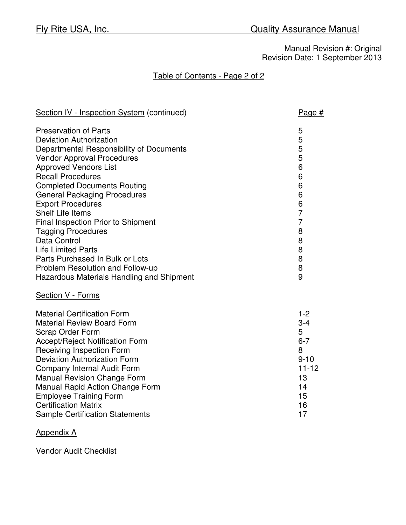# Table of Contents - Page 2 of 2

| Section IV - Inspection System (continued) | Page #         |
|--------------------------------------------|----------------|
| <b>Preservation of Parts</b>               | 5              |
| <b>Deviation Authorization</b>             | 5              |
| Departmental Responsibility of Documents   | 5              |
| <b>Vendor Approval Procedures</b>          | 5              |
| <b>Approved Vendors List</b>               | 6              |
| <b>Recall Procedures</b>                   | 6              |
| <b>Completed Documents Routing</b>         | 6              |
| <b>General Packaging Procedures</b>        | 6              |
| <b>Export Procedures</b>                   | 6              |
| <b>Shelf Life Items</b>                    | $\overline{7}$ |
| Final Inspection Prior to Shipment         | $\overline{7}$ |
| <b>Tagging Procedures</b>                  | 8              |
| Data Control                               | 8              |
| <b>Life Limited Parts</b>                  | 8              |
| Parts Purchased In Bulk or Lots            | 8              |
| Problem Resolution and Follow-up           | 8              |
| Hazardous Materials Handling and Shipment  | 9              |
| Section V - Forms                          |                |
| <b>Material Certification Form</b>         | $1 - 2$        |
| <b>Material Review Board Form</b>          | $3 - 4$        |
| <b>Scrap Order Form</b>                    | 5              |
| <b>Accept/Reject Notification Form</b>     | $6 - 7$        |
| <b>Receiving Inspection Form</b>           | 8              |
| <b>Deviation Authorization Form</b>        | $9 - 10$       |
| <b>Company Internal Audit Form</b>         | $11 - 12$      |
| <b>Manual Revision Change Form</b>         | 13             |
| Manual Rapid Action Change Form            | 14             |
| <b>Employee Training Form</b>              | 15             |
| <b>Certification Matrix</b>                | 16             |
| <b>Sample Certification Statements</b>     | 17             |

### Appendix A

Vendor Audit Checklist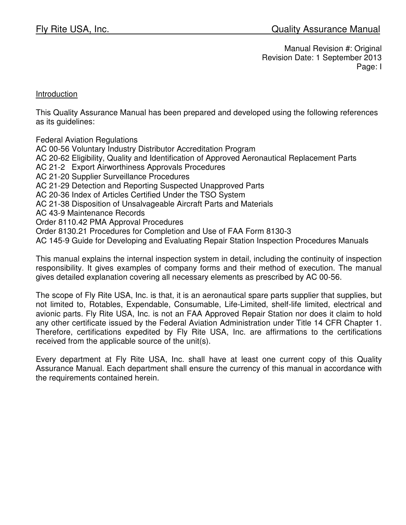#### **Introduction**

This Quality Assurance Manual has been prepared and developed using the following references as its guidelines:

Federal Aviation Regulations AC 00-56 Voluntary Industry Distributor Accreditation Program AC 20-62 Eligibility, Quality and Identification of Approved Aeronautical Replacement Parts AC 21-2 Export Airworthiness Approvals Procedures AC 21-20 Supplier Surveillance Procedures AC 21-29 Detection and Reporting Suspected Unapproved Parts AC 20-36 Index of Articles Certified Under the TSO System AC 21-38 Disposition of Unsalvageable Aircraft Parts and Materials AC 43-9 Maintenance Records Order 8110.42 PMA Approval Procedures Order 8130.21 Procedures for Completion and Use of FAA Form 8130-3 AC 145-9 Guide for Developing and Evaluating Repair Station Inspection Procedures Manuals

This manual explains the internal inspection system in detail, including the continuity of inspection responsibility. It gives examples of company forms and their method of execution. The manual gives detailed explanation covering all necessary elements as prescribed by AC 00-56.

The scope of Fly Rite USA, Inc. is that, it is an aeronautical spare parts supplier that supplies, but not limited to, Rotables, Expendable, Consumable, Life-Limited, shelf-life limited, electrical and avionic parts. Fly Rite USA, Inc. is not an FAA Approved Repair Station nor does it claim to hold any other certificate issued by the Federal Aviation Administration under Title 14 CFR Chapter 1. Therefore, certifications expedited by Fly Rite USA, Inc. are affirmations to the certifications received from the applicable source of the unit(s).

Every department at Fly Rite USA, Inc. shall have at least one current copy of this Quality Assurance Manual. Each department shall ensure the currency of this manual in accordance with the requirements contained herein.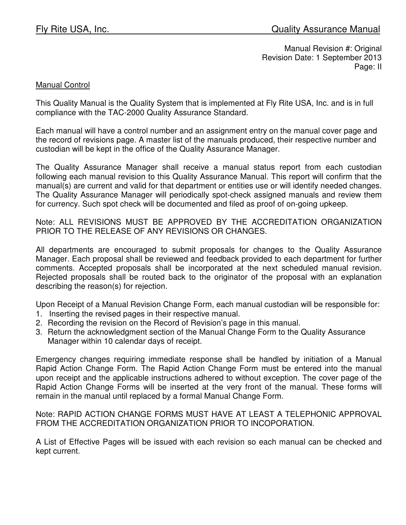## Manual Control

This Quality Manual is the Quality System that is implemented at Fly Rite USA, Inc. and is in full compliance with the TAC-2000 Quality Assurance Standard.

Each manual will have a control number and an assignment entry on the manual cover page and the record of revisions page. A master list of the manuals produced, their respective number and custodian will be kept in the office of the Quality Assurance Manager.

The Quality Assurance Manager shall receive a manual status report from each custodian following each manual revision to this Quality Assurance Manual. This report will confirm that the manual(s) are current and valid for that department or entities use or will identify needed changes. The Quality Assurance Manager will periodically spot-check assigned manuals and review them for currency. Such spot check will be documented and filed as proof of on-going upkeep.

Note: ALL REVISIONS MUST BE APPROVED BY THE ACCREDITATION ORGANIZATION PRIOR TO THE RELEASE OF ANY REVISIONS OR CHANGES.

All departments are encouraged to submit proposals for changes to the Quality Assurance Manager. Each proposal shall be reviewed and feedback provided to each department for further comments. Accepted proposals shall be incorporated at the next scheduled manual revision. Rejected proposals shall be routed back to the originator of the proposal with an explanation describing the reason(s) for rejection.

Upon Receipt of a Manual Revision Change Form, each manual custodian will be responsible for:

- 1. Inserting the revised pages in their respective manual.
- 2. Recording the revision on the Record of Revision's page in this manual.
- 3. Return the acknowledgment section of the Manual Change Form to the Quality Assurance Manager within 10 calendar days of receipt.

Emergency changes requiring immediate response shall be handled by initiation of a Manual Rapid Action Change Form. The Rapid Action Change Form must be entered into the manual upon receipt and the applicable instructions adhered to without exception. The cover page of the Rapid Action Change Forms will be inserted at the very front of the manual. These forms will remain in the manual until replaced by a formal Manual Change Form.

Note: RAPID ACTION CHANGE FORMS MUST HAVE AT LEAST A TELEPHONIC APPROVAL FROM THE ACCREDITATION ORGANIZATION PRIOR TO INCOPORATION.

A List of Effective Pages will be issued with each revision so each manual can be checked and kept current.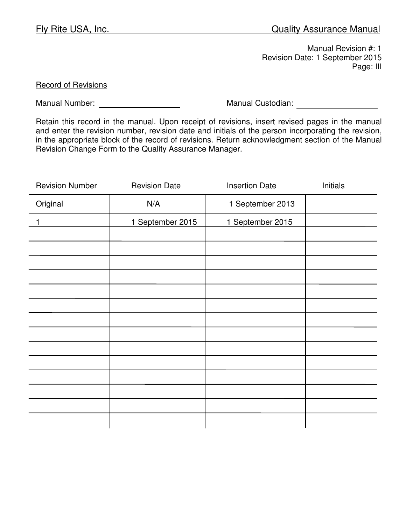Manual Revision #: 1 Revision Date: 1 September 2015 Page: III

Record of Revisions

Manual Number: Manual Custodian:

Retain this record in the manual. Upon receipt of revisions, insert revised pages in the manual and enter the revision number, revision date and initials of the person incorporating the revision, in the appropriate block of the record of revisions. Return acknowledgment section of the Manual Revision Change Form to the Quality Assurance Manager.

| <b>Revision Number</b> | <b>Revision Date</b> | <b>Insertion Date</b> | Initials |
|------------------------|----------------------|-----------------------|----------|
| Original               | N/A                  | 1 September 2013      |          |
| 1                      | 1 September 2015     | 1 September 2015      |          |
|                        |                      |                       |          |
|                        |                      |                       |          |
|                        |                      |                       |          |
|                        |                      |                       |          |
|                        |                      |                       |          |
|                        |                      |                       |          |
|                        |                      |                       |          |
|                        |                      |                       |          |
|                        |                      |                       |          |
|                        |                      |                       |          |
|                        |                      |                       |          |
|                        |                      |                       |          |
|                        |                      |                       |          |
|                        |                      |                       |          |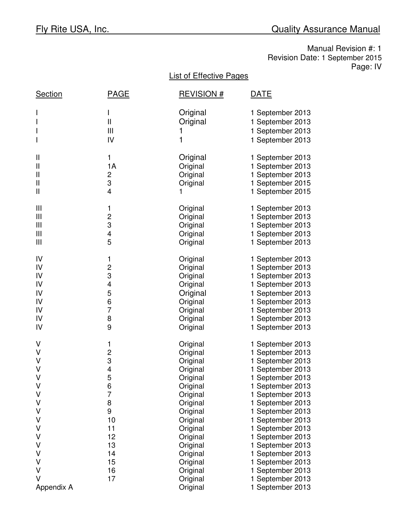Manual Revision #: 1 Revision Date: 1 September 2015 Page: IV

# List of Effective Pages

| <b>Section</b>                                                          | <u>PAGE</u>                                                                          | <u>REVISION #</u>                                                                                                                                                                | DATE                                                                                                                                                                                                                                                                                                     |
|-------------------------------------------------------------------------|--------------------------------------------------------------------------------------|----------------------------------------------------------------------------------------------------------------------------------------------------------------------------------|----------------------------------------------------------------------------------------------------------------------------------------------------------------------------------------------------------------------------------------------------------------------------------------------------------|
|                                                                         | Ш<br>Ш<br>IV                                                                         | Original<br>Original<br>1<br>1                                                                                                                                                   | 1 September 2013<br>1 September 2013<br>1 September 2013<br>1 September 2013                                                                                                                                                                                                                             |
| Ш<br>Ш<br>Ш<br>Ш<br>$\mathbf{I}$                                        | 1<br>1A<br>2<br>3<br>4                                                               | Original<br>Original<br>Original<br>Original<br>1                                                                                                                                | 1 September 2013<br>1 September 2013<br>1 September 2013<br>1 September 2015<br>1 September 2015                                                                                                                                                                                                         |
| Ш<br>Ш<br>Ш<br>Ш<br>Ш                                                   | 1<br>$\overline{\mathbf{c}}$<br>3<br>4<br>5                                          | Original<br>Original<br>Original<br>Original<br>Original                                                                                                                         | 1 September 2013<br>1 September 2013<br>1 September 2013<br>1 September 2013<br>1 September 2013                                                                                                                                                                                                         |
| IV<br>IV<br>IV<br>IV<br>IV<br>IV<br>IV<br>IV<br>IV                      | 1<br>$\overline{\mathbf{c}}$<br>3<br>4<br>5<br>6<br>$\overline{7}$<br>8<br>9         | Original<br>Original<br>Original<br>Original<br>Original<br>Original<br>Original<br>Original<br>Original                                                                         | 1 September 2013<br>1 September 2013<br>1 September 2013<br>1 September 2013<br>1 September 2013<br>1 September 2013<br>1 September 2013<br>1 September 2013<br>1 September 2013                                                                                                                         |
| V<br>٧<br>V<br>V<br>V<br>V<br>V<br>٧<br>٧<br>٧<br>٧<br>٧<br>٧<br>٧<br>V | 1<br>$\frac{2}{3}$<br>4<br>5<br>6<br>7<br>8<br>9<br>10<br>11<br>12<br>13<br>14<br>15 | Original<br>Original<br>Original<br>Original<br>Original<br>Original<br>Original<br>Original<br>Original<br>Original<br>Original<br>Original<br>Original<br>Original<br>Original | 1 September 2013<br>1 September 2013<br>1 September 2013<br>1 September 2013<br>1 September 2013<br>1 September 2013<br>1 September 2013<br>1 September 2013<br>1 September 2013<br>1 September 2013<br>1 September 2013<br>1 September 2013<br>1 September 2013<br>1 September 2013<br>1 September 2013 |
| V<br>v<br>Appendix A                                                    | 16<br>17                                                                             | Original<br>Original<br>Original                                                                                                                                                 | 1 September 2013<br>1 September 2013<br>1 September 2013                                                                                                                                                                                                                                                 |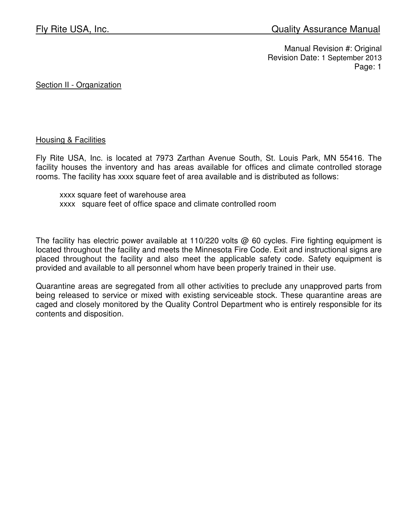Section II - Organization

#### Housing & Facilities

Fly Rite USA, Inc. is located at 7973 Zarthan Avenue South, St. Louis Park, MN 55416. The facility houses the inventory and has areas available for offices and climate controlled storage rooms. The facility has xxxx square feet of area available and is distributed as follows:

 xxxx square feet of warehouse area xxxx square feet of office space and climate controlled room

The facility has electric power available at 110/220 volts  $@$  60 cycles. Fire fighting equipment is located throughout the facility and meets the Minnesota Fire Code. Exit and instructional signs are placed throughout the facility and also meet the applicable safety code. Safety equipment is provided and available to all personnel whom have been properly trained in their use.

Quarantine areas are segregated from all other activities to preclude any unapproved parts from being released to service or mixed with existing serviceable stock. These quarantine areas are caged and closely monitored by the Quality Control Department who is entirely responsible for its contents and disposition.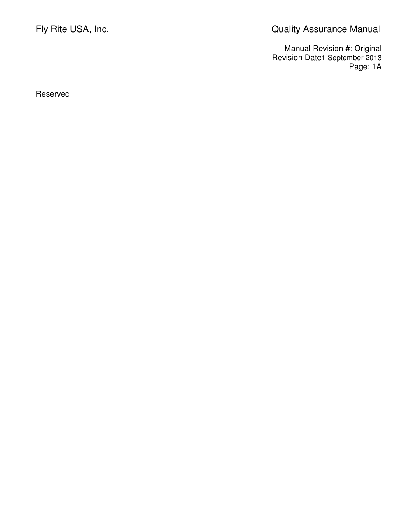**Reserved**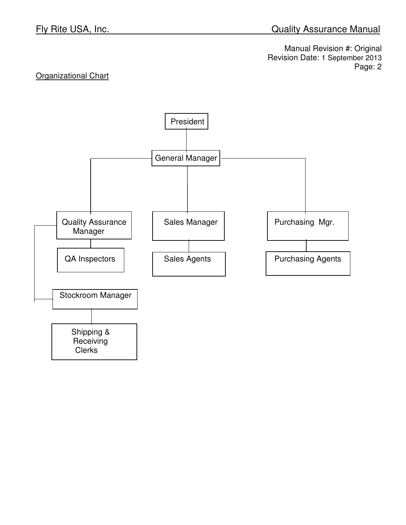# **Organizational Chart**

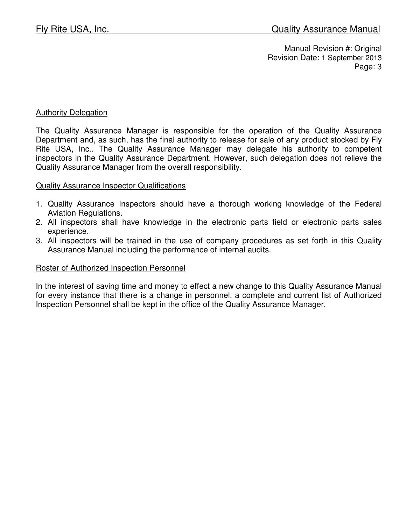#### **Authority Delegation**

The Quality Assurance Manager is responsible for the operation of the Quality Assurance Department and, as such, has the final authority to release for sale of any product stocked by Fly Rite USA, Inc.. The Quality Assurance Manager may delegate his authority to competent inspectors in the Quality Assurance Department. However, such delegation does not relieve the Quality Assurance Manager from the overall responsibility.

#### Quality Assurance Inspector Qualifications

- 1. Quality Assurance Inspectors should have a thorough working knowledge of the Federal Aviation Regulations.
- 2. All inspectors shall have knowledge in the electronic parts field or electronic parts sales experience.
- 3. All inspectors will be trained in the use of company procedures as set forth in this Quality Assurance Manual including the performance of internal audits.

#### Roster of Authorized Inspection Personnel

In the interest of saving time and money to effect a new change to this Quality Assurance Manual for every instance that there is a change in personnel, a complete and current list of Authorized Inspection Personnel shall be kept in the office of the Quality Assurance Manager.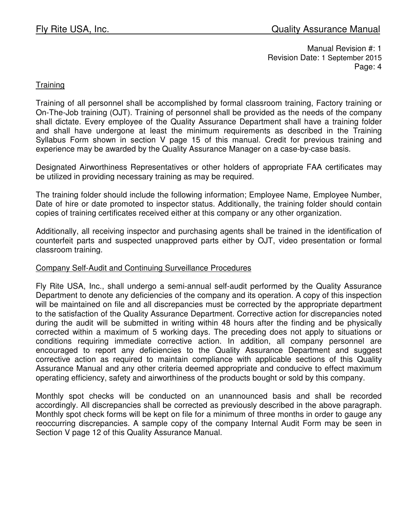### **Training**

Training of all personnel shall be accomplished by formal classroom training, Factory training or On-The-Job training (OJT). Training of personnel shall be provided as the needs of the company shall dictate. Every employee of the Quality Assurance Department shall have a training folder and shall have undergone at least the minimum requirements as described in the Training Syllabus Form shown in section V page 15 of this manual. Credit for previous training and experience may be awarded by the Quality Assurance Manager on a case-by-case basis.

Designated Airworthiness Representatives or other holders of appropriate FAA certificates may be utilized in providing necessary training as may be required.

The training folder should include the following information; Employee Name, Employee Number, Date of hire or date promoted to inspector status. Additionally, the training folder should contain copies of training certificates received either at this company or any other organization.

Additionally, all receiving inspector and purchasing agents shall be trained in the identification of counterfeit parts and suspected unapproved parts either by OJT, video presentation or formal classroom training.

#### Company Self-Audit and Continuing Surveillance Procedures

Fly Rite USA, Inc., shall undergo a semi-annual self-audit performed by the Quality Assurance Department to denote any deficiencies of the company and its operation. A copy of this inspection will be maintained on file and all discrepancies must be corrected by the appropriate department to the satisfaction of the Quality Assurance Department. Corrective action for discrepancies noted during the audit will be submitted in writing within 48 hours after the finding and be physically corrected within a maximum of 5 working days. The preceding does not apply to situations or conditions requiring immediate corrective action. In addition, all company personnel are encouraged to report any deficiencies to the Quality Assurance Department and suggest corrective action as required to maintain compliance with applicable sections of this Quality Assurance Manual and any other criteria deemed appropriate and conducive to effect maximum operating efficiency, safety and airworthiness of the products bought or sold by this company.

Monthly spot checks will be conducted on an unannounced basis and shall be recorded accordingly. All discrepancies shall be corrected as previously described in the above paragraph. Monthly spot check forms will be kept on file for a minimum of three months in order to gauge any reoccurring discrepancies. A sample copy of the company Internal Audit Form may be seen in Section V page 12 of this Quality Assurance Manual.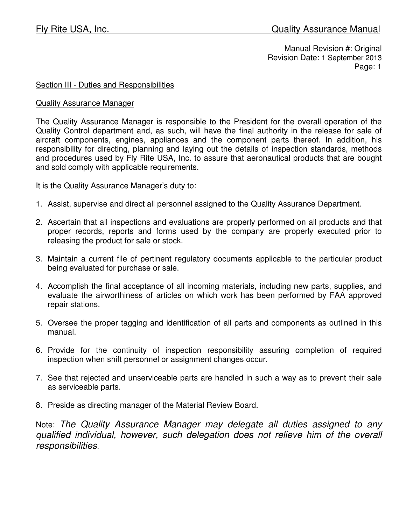#### Section III - Duties and Responsibilities

#### Quality Assurance Manager

The Quality Assurance Manager is responsible to the President for the overall operation of the Quality Control department and, as such, will have the final authority in the release for sale of aircraft components, engines, appliances and the component parts thereof. In addition, his responsibility for directing, planning and laying out the details of inspection standards, methods and procedures used by Fly Rite USA, Inc. to assure that aeronautical products that are bought and sold comply with applicable requirements.

It is the Quality Assurance Manager's duty to:

- 1. Assist, supervise and direct all personnel assigned to the Quality Assurance Department.
- 2. Ascertain that all inspections and evaluations are properly performed on all products and that proper records, reports and forms used by the company are properly executed prior to releasing the product for sale or stock.
- 3. Maintain a current file of pertinent regulatory documents applicable to the particular product being evaluated for purchase or sale.
- 4. Accomplish the final acceptance of all incoming materials, including new parts, supplies, and evaluate the airworthiness of articles on which work has been performed by FAA approved repair stations.
- 5. Oversee the proper tagging and identification of all parts and components as outlined in this manual.
- 6. Provide for the continuity of inspection responsibility assuring completion of required inspection when shift personnel or assignment changes occur.
- 7. See that rejected and unserviceable parts are handled in such a way as to prevent their sale as serviceable parts.
- 8. Preside as directing manager of the Material Review Board.

Note: The Quality Assurance Manager may delegate all duties assigned to any qualified individual, however, such delegation does not relieve him of the overall responsibilities.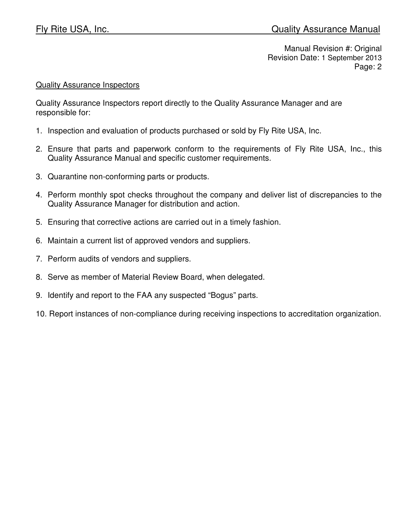#### Quality Assurance Inspectors

Quality Assurance Inspectors report directly to the Quality Assurance Manager and are responsible for:

- 1. Inspection and evaluation of products purchased or sold by Fly Rite USA, Inc.
- 2. Ensure that parts and paperwork conform to the requirements of Fly Rite USA, Inc., this Quality Assurance Manual and specific customer requirements.
- 3. Quarantine non-conforming parts or products.
- 4. Perform monthly spot checks throughout the company and deliver list of discrepancies to the Quality Assurance Manager for distribution and action.
- 5. Ensuring that corrective actions are carried out in a timely fashion.
- 6. Maintain a current list of approved vendors and suppliers.
- 7. Perform audits of vendors and suppliers.
- 8. Serve as member of Material Review Board, when delegated.
- 9. Identify and report to the FAA any suspected "Bogus" parts.
- 10. Report instances of non-compliance during receiving inspections to accreditation organization.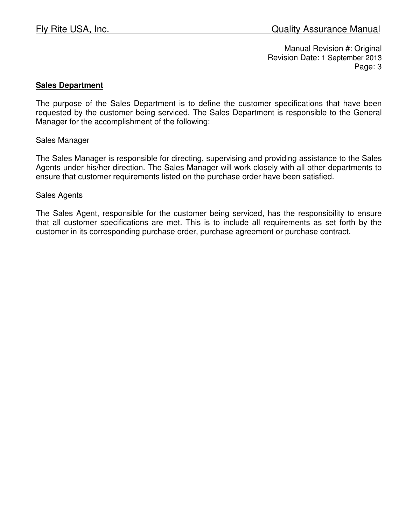### **Sales Department**

The purpose of the Sales Department is to define the customer specifications that have been requested by the customer being serviced. The Sales Department is responsible to the General Manager for the accomplishment of the following:

#### Sales Manager

The Sales Manager is responsible for directing, supervising and providing assistance to the Sales Agents under his/her direction. The Sales Manager will work closely with all other departments to ensure that customer requirements listed on the purchase order have been satisfied.

#### Sales Agents

The Sales Agent, responsible for the customer being serviced, has the responsibility to ensure that all customer specifications are met. This is to include all requirements as set forth by the customer in its corresponding purchase order, purchase agreement or purchase contract.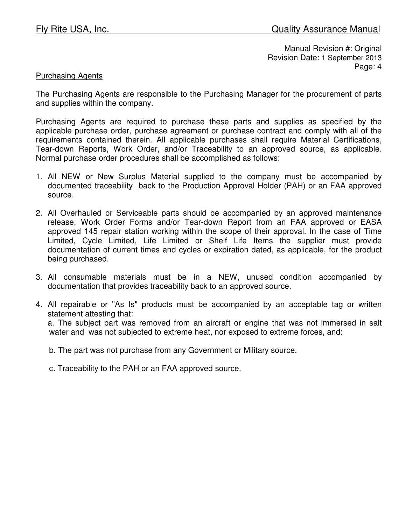## Purchasing Agents

The Purchasing Agents are responsible to the Purchasing Manager for the procurement of parts and supplies within the company.

Purchasing Agents are required to purchase these parts and supplies as specified by the applicable purchase order, purchase agreement or purchase contract and comply with all of the requirements contained therein. All applicable purchases shall require Material Certifications, Tear-down Reports, Work Order, and/or Traceability to an approved source, as applicable. Normal purchase order procedures shall be accomplished as follows:

- 1. All NEW or New Surplus Material supplied to the company must be accompanied by documented traceability back to the Production Approval Holder (PAH) or an FAA approved source.
- 2. All Overhauled or Serviceable parts should be accompanied by an approved maintenance release, Work Order Forms and/or Tear-down Report from an FAA approved or EASA approved 145 repair station working within the scope of their approval. In the case of Time Limited, Cycle Limited, Life Limited or Shelf Life Items the supplier must provide documentation of current times and cycles or expiration dated, as applicable, for the product being purchased.
- 3. All consumable materials must be in a NEW, unused condition accompanied by documentation that provides traceability back to an approved source.
- 4. All repairable or "As Is" products must be accompanied by an acceptable tag or written statement attesting that:

a. The subject part was removed from an aircraft or engine that was not immersed in salt water and was not subjected to extreme heat, nor exposed to extreme forces, and:

b. The part was not purchase from any Government or Military source.

c. Traceability to the PAH or an FAA approved source.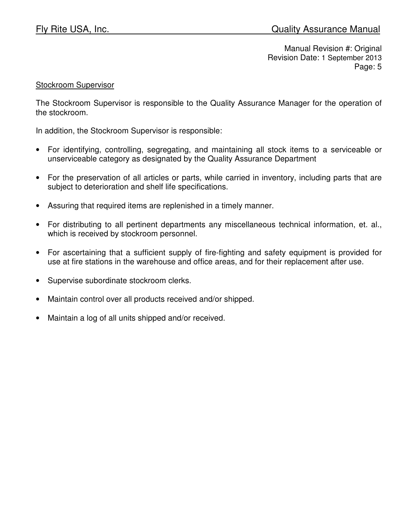#### Stockroom Supervisor

The Stockroom Supervisor is responsible to the Quality Assurance Manager for the operation of the stockroom.

In addition, the Stockroom Supervisor is responsible:

- For identifying, controlling, segregating, and maintaining all stock items to a serviceable or unserviceable category as designated by the Quality Assurance Department
- For the preservation of all articles or parts, while carried in inventory, including parts that are subject to deterioration and shelf life specifications.
- Assuring that required items are replenished in a timely manner.
- For distributing to all pertinent departments any miscellaneous technical information, et. al., which is received by stockroom personnel.
- For ascertaining that a sufficient supply of fire-fighting and safety equipment is provided for use at fire stations in the warehouse and office areas, and for their replacement after use.
- Supervise subordinate stockroom clerks.
- Maintain control over all products received and/or shipped.
- Maintain a log of all units shipped and/or received.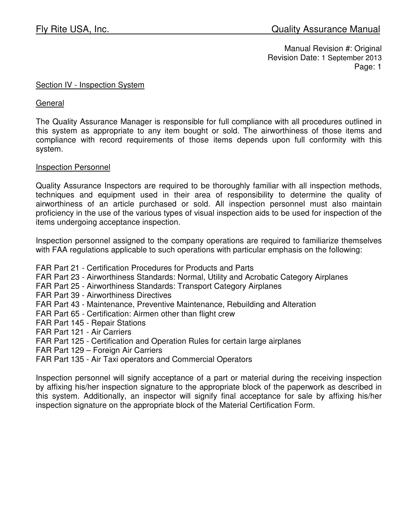#### Section IV - Inspection System

**General** 

The Quality Assurance Manager is responsible for full compliance with all procedures outlined in this system as appropriate to any item bought or sold. The airworthiness of those items and compliance with record requirements of those items depends upon full conformity with this system.

### Inspection Personnel

Quality Assurance Inspectors are required to be thoroughly familiar with all inspection methods, techniques and equipment used in their area of responsibility to determine the quality of airworthiness of an article purchased or sold. All inspection personnel must also maintain proficiency in the use of the various types of visual inspection aids to be used for inspection of the items undergoing acceptance inspection.

Inspection personnel assigned to the company operations are required to familiarize themselves with FAA regulations applicable to such operations with particular emphasis on the following:

- FAR Part 21 Certification Procedures for Products and Parts
- FAR Part 23 Airworthiness Standards: Normal, Utility and Acrobatic Category Airplanes
- FAR Part 25 Airworthiness Standards: Transport Category Airplanes
- FAR Part 39 Airworthiness Directives
- FAR Part 43 Maintenance, Preventive Maintenance, Rebuilding and Alteration
- FAR Part 65 Certification: Airmen other than flight crew
- FAR Part 145 Repair Stations
- FAR Part 121 Air Carriers
- FAR Part 125 Certification and Operation Rules for certain large airplanes
- FAR Part 129 Foreign Air Carriers
- FAR Part 135 Air Taxi operators and Commercial Operators

Inspection personnel will signify acceptance of a part or material during the receiving inspection by affixing his/her inspection signature to the appropriate block of the paperwork as described in this system. Additionally, an inspector will signify final acceptance for sale by affixing his/her inspection signature on the appropriate block of the Material Certification Form.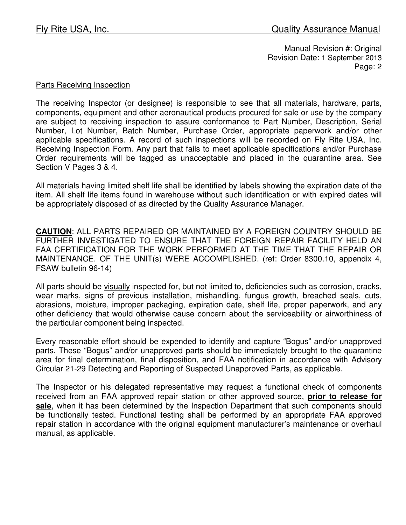#### Parts Receiving Inspection

The receiving Inspector (or designee) is responsible to see that all materials, hardware, parts, components, equipment and other aeronautical products procured for sale or use by the company are subject to receiving inspection to assure conformance to Part Number, Description, Serial Number, Lot Number, Batch Number, Purchase Order, appropriate paperwork and/or other applicable specifications. A record of such inspections will be recorded on Fly Rite USA, Inc. Receiving Inspection Form. Any part that fails to meet applicable specifications and/or Purchase Order requirements will be tagged as unacceptable and placed in the quarantine area. See Section V Pages 3 & 4.

All materials having limited shelf life shall be identified by labels showing the expiration date of the item. All shelf life items found in warehouse without such identification or with expired dates will be appropriately disposed of as directed by the Quality Assurance Manager.

**CAUTION**: ALL PARTS REPAIRED OR MAINTAINED BY A FOREIGN COUNTRY SHOULD BE FURTHER INVESTIGATED TO ENSURE THAT THE FOREIGN REPAIR FACILITY HELD AN FAA CERTIFICATION FOR THE WORK PERFORMED AT THE TIME THAT THE REPAIR OR MAINTENANCE. OF THE UNIT(s) WERE ACCOMPLISHED. (ref: Order 8300.10, appendix 4, FSAW bulletin 96-14)

All parts should be visually inspected for, but not limited to, deficiencies such as corrosion, cracks, wear marks, signs of previous installation, mishandling, fungus growth, breached seals, cuts, abrasions, moisture, improper packaging, expiration date, shelf life, proper paperwork, and any other deficiency that would otherwise cause concern about the serviceability or airworthiness of the particular component being inspected.

Every reasonable effort should be expended to identify and capture "Bogus" and/or unapproved parts. These "Bogus" and/or unapproved parts should be immediately brought to the quarantine area for final determination, final disposition, and FAA notification in accordance with Advisory Circular 21-29 Detecting and Reporting of Suspected Unapproved Parts, as applicable.

The Inspector or his delegated representative may request a functional check of components received from an FAA approved repair station or other approved source, **prior to release for sale**, when it has been determined by the Inspection Department that such components should be functionally tested. Functional testing shall be performed by an appropriate FAA approved repair station in accordance with the original equipment manufacturer's maintenance or overhaul manual, as applicable.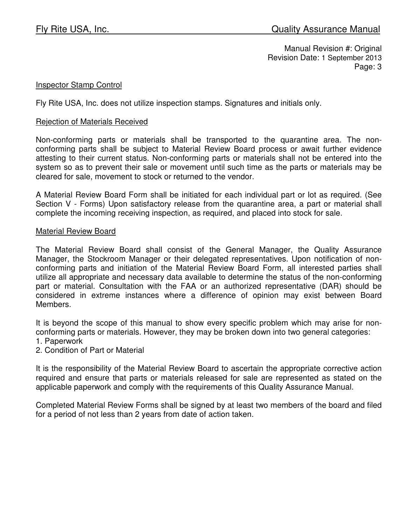#### Inspector Stamp Control

Fly Rite USA, Inc. does not utilize inspection stamps. Signatures and initials only.

#### Rejection of Materials Received

Non-conforming parts or materials shall be transported to the quarantine area. The nonconforming parts shall be subject to Material Review Board process or await further evidence attesting to their current status. Non-conforming parts or materials shall not be entered into the system so as to prevent their sale or movement until such time as the parts or materials may be cleared for sale, movement to stock or returned to the vendor.

A Material Review Board Form shall be initiated for each individual part or lot as required. (See Section V - Forms) Upon satisfactory release from the quarantine area, a part or material shall complete the incoming receiving inspection, as required, and placed into stock for sale.

#### Material Review Board

The Material Review Board shall consist of the General Manager, the Quality Assurance Manager, the Stockroom Manager or their delegated representatives. Upon notification of nonconforming parts and initiation of the Material Review Board Form, all interested parties shall utilize all appropriate and necessary data available to determine the status of the non-conforming part or material. Consultation with the FAA or an authorized representative (DAR) should be considered in extreme instances where a difference of opinion may exist between Board Members.

It is beyond the scope of this manual to show every specific problem which may arise for nonconforming parts or materials. However, they may be broken down into two general categories:

- 1. Paperwork
- 2. Condition of Part or Material

It is the responsibility of the Material Review Board to ascertain the appropriate corrective action required and ensure that parts or materials released for sale are represented as stated on the applicable paperwork and comply with the requirements of this Quality Assurance Manual.

Completed Material Review Forms shall be signed by at least two members of the board and filed for a period of not less than 2 years from date of action taken.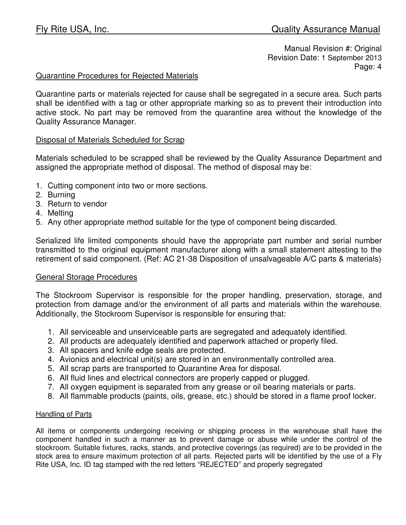### Quarantine Procedures for Rejected Materials

Quarantine parts or materials rejected for cause shall be segregated in a secure area. Such parts shall be identified with a tag or other appropriate marking so as to prevent their introduction into active stock. No part may be removed from the quarantine area without the knowledge of the Quality Assurance Manager.

#### Disposal of Materials Scheduled for Scrap

Materials scheduled to be scrapped shall be reviewed by the Quality Assurance Department and assigned the appropriate method of disposal. The method of disposal may be:

- 1. Cutting component into two or more sections.
- 2. Burning
- 3. Return to vendor
- 4. Melting
- 5. Any other appropriate method suitable for the type of component being discarded.

Serialized life limited components should have the appropriate part number and serial number transmitted to the original equipment manufacturer along with a small statement attesting to the retirement of said component. (Ref: AC 21-38 Disposition of unsalvageable A/C parts & materials)

#### General Storage Procedures

The Stockroom Supervisor is responsible for the proper handling, preservation, storage, and protection from damage and/or the environment of all parts and materials within the warehouse. Additionally, the Stockroom Supervisor is responsible for ensuring that:

- 1. All serviceable and unserviceable parts are segregated and adequately identified.
- 2. All products are adequately identified and paperwork attached or properly filed.
- 3. All spacers and knife edge seals are protected.
- 4. Avionics and electrical unit(s) are stored in an environmentally controlled area.
- 5. All scrap parts are transported to Quarantine Area for disposal.
- 6. All fluid lines and electrical connectors are properly capped or plugged.
- 7. All oxygen equipment is separated from any grease or oil bearing materials or parts.
- 8. All flammable products (paints, oils, grease, etc.) should be stored in a flame proof locker.

#### Handling of Parts

All items or components undergoing receiving or shipping process in the warehouse shall have the component handled in such a manner as to prevent damage or abuse while under the control of the stockroom. Suitable fixtures, racks, stands, and protective coverings (as required) are to be provided in the stock area to ensure maximum protection of all parts. Rejected parts will be identified by the use of a Fly Rite USA, Inc. ID tag stamped with the red letters "REJECTED" and properly segregated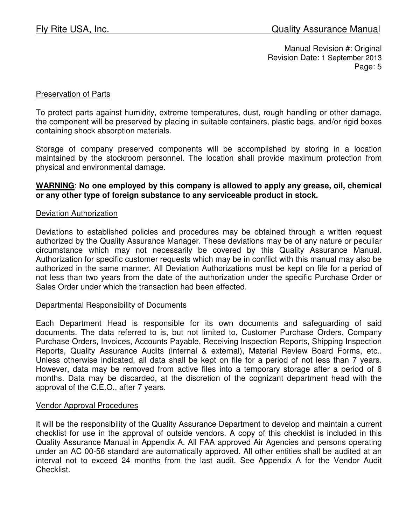#### Preservation of Parts

To protect parts against humidity, extreme temperatures, dust, rough handling or other damage, the component will be preserved by placing in suitable containers, plastic bags, and/or rigid boxes containing shock absorption materials.

Storage of company preserved components will be accomplished by storing in a location maintained by the stockroom personnel. The location shall provide maximum protection from physical and environmental damage.

#### **WARNING**: **No one employed by this company is allowed to apply any grease, oil, chemical or any other type of foreign substance to any serviceable product in stock.**

#### Deviation Authorization

Deviations to established policies and procedures may be obtained through a written request authorized by the Quality Assurance Manager. These deviations may be of any nature or peculiar circumstance which may not necessarily be covered by this Quality Assurance Manual. Authorization for specific customer requests which may be in conflict with this manual may also be authorized in the same manner. All Deviation Authorizations must be kept on file for a period of not less than two years from the date of the authorization under the specific Purchase Order or Sales Order under which the transaction had been effected.

#### Departmental Responsibility of Documents

Each Department Head is responsible for its own documents and safeguarding of said documents. The data referred to is, but not limited to, Customer Purchase Orders, Company Purchase Orders, Invoices, Accounts Payable, Receiving Inspection Reports, Shipping Inspection Reports, Quality Assurance Audits (internal & external), Material Review Board Forms, etc.. Unless otherwise indicated, all data shall be kept on file for a period of not less than 7 years. However, data may be removed from active files into a temporary storage after a period of 6 months. Data may be discarded, at the discretion of the cognizant department head with the approval of the C.E.O., after 7 years.

#### Vendor Approval Procedures

It will be the responsibility of the Quality Assurance Department to develop and maintain a current checklist for use in the approval of outside vendors. A copy of this checklist is included in this Quality Assurance Manual in Appendix A. All FAA approved Air Agencies and persons operating under an AC 00-56 standard are automatically approved. All other entities shall be audited at an interval not to exceed 24 months from the last audit. See Appendix A for the Vendor Audit Checklist.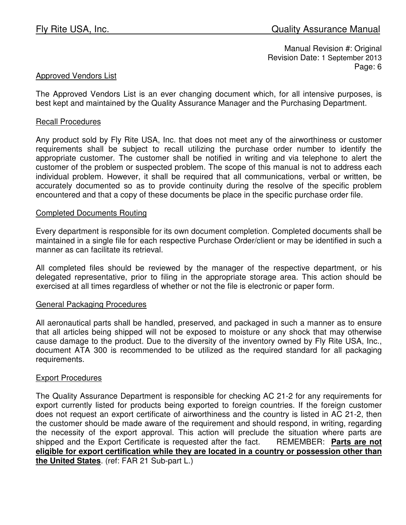#### Approved Vendors List

The Approved Vendors List is an ever changing document which, for all intensive purposes, is best kept and maintained by the Quality Assurance Manager and the Purchasing Department.

#### Recall Procedures

Any product sold by Fly Rite USA, Inc. that does not meet any of the airworthiness or customer requirements shall be subject to recall utilizing the purchase order number to identify the appropriate customer. The customer shall be notified in writing and via telephone to alert the customer of the problem or suspected problem. The scope of this manual is not to address each individual problem. However, it shall be required that all communications, verbal or written, be accurately documented so as to provide continuity during the resolve of the specific problem encountered and that a copy of these documents be place in the specific purchase order file.

#### Completed Documents Routing

Every department is responsible for its own document completion. Completed documents shall be maintained in a single file for each respective Purchase Order/client or may be identified in such a manner as can facilitate its retrieval.

All completed files should be reviewed by the manager of the respective department, or his delegated representative, prior to filing in the appropriate storage area. This action should be exercised at all times regardless of whether or not the file is electronic or paper form.

#### General Packaging Procedures

All aeronautical parts shall be handled, preserved, and packaged in such a manner as to ensure that all articles being shipped will not be exposed to moisture or any shock that may otherwise cause damage to the product. Due to the diversity of the inventory owned by Fly Rite USA, Inc., document ATA 300 is recommended to be utilized as the required standard for all packaging requirements.

#### Export Procedures

The Quality Assurance Department is responsible for checking AC 21-2 for any requirements for export currently listed for products being exported to foreign countries. If the foreign customer does not request an export certificate of airworthiness and the country is listed in AC 21-2, then the customer should be made aware of the requirement and should respond, in writing, regarding the necessity of the export approval. This action will preclude the situation where parts are shipped and the Export Certificate is requested after the fact. REMEMBER: **Parts are not eligible for export certification while they are located in a country or possession other than the United States**. (ref: FAR 21 Sub-part L.)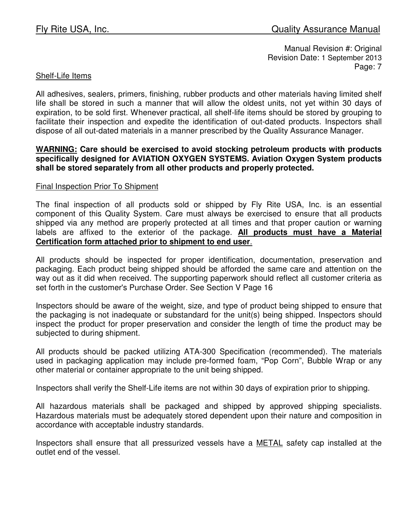### Shelf-Life Items

All adhesives, sealers, primers, finishing, rubber products and other materials having limited shelf life shall be stored in such a manner that will allow the oldest units, not yet within 30 days of expiration, to be sold first. Whenever practical, all shelf-life items should be stored by grouping to facilitate their inspection and expedite the identification of out-dated products. Inspectors shall dispose of all out-dated materials in a manner prescribed by the Quality Assurance Manager.

#### **WARNING: Care should be exercised to avoid stocking petroleum products with products specifically designed for AVIATION OXYGEN SYSTEMS. Aviation Oxygen System products shall be stored separately from all other products and properly protected.**

#### Final Inspection Prior To Shipment

The final inspection of all products sold or shipped by Fly Rite USA, Inc. is an essential component of this Quality System. Care must always be exercised to ensure that all products shipped via any method are properly protected at all times and that proper caution or warning labels are affixed to the exterior of the package. **All products must have a Material Certification form attached prior to shipment to end user**.

All products should be inspected for proper identification, documentation, preservation and packaging. Each product being shipped should be afforded the same care and attention on the way out as it did when received. The supporting paperwork should reflect all customer criteria as set forth in the customer's Purchase Order. See Section V Page 16

Inspectors should be aware of the weight, size, and type of product being shipped to ensure that the packaging is not inadequate or substandard for the unit(s) being shipped. Inspectors should inspect the product for proper preservation and consider the length of time the product may be subjected to during shipment.

All products should be packed utilizing ATA-300 Specification (recommended). The materials used in packaging application may include pre-formed foam, "Pop Corn", Bubble Wrap or any other material or container appropriate to the unit being shipped.

Inspectors shall verify the Shelf-Life items are not within 30 days of expiration prior to shipping.

All hazardous materials shall be packaged and shipped by approved shipping specialists. Hazardous materials must be adequately stored dependent upon their nature and composition in accordance with acceptable industry standards.

Inspectors shall ensure that all pressurized vessels have a METAL safety cap installed at the outlet end of the vessel.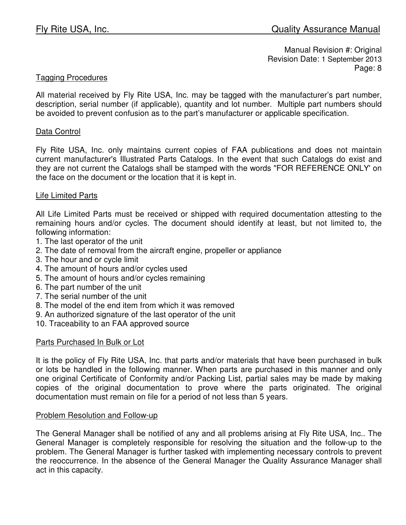### Tagging Procedures

All material received by Fly Rite USA, Inc. may be tagged with the manufacturer's part number, description, serial number (if applicable), quantity and lot number. Multiple part numbers should be avoided to prevent confusion as to the part's manufacturer or applicable specification.

#### Data Control

Fly Rite USA, Inc. only maintains current copies of FAA publications and does not maintain current manufacturer's Illustrated Parts Catalogs. In the event that such Catalogs do exist and they are not current the Catalogs shall be stamped with the words "FOR REFERENCE ONLY' on the face on the document or the location that it is kept in.

#### Life Limited Parts

All Life Limited Parts must be received or shipped with required documentation attesting to the remaining hours and/or cycles. The document should identify at least, but not limited to, the following information:

- 1. The last operator of the unit
- 2. The date of removal from the aircraft engine, propeller or appliance
- 3. The hour and or cycle limit
- 4. The amount of hours and/or cycles used
- 5. The amount of hours and/or cycles remaining
- 6. The part number of the unit
- 7. The serial number of the unit
- 8. The model of the end item from which it was removed
- 9. An authorized signature of the last operator of the unit
- 10. Traceability to an FAA approved source

#### Parts Purchased In Bulk or Lot

It is the policy of Fly Rite USA, Inc. that parts and/or materials that have been purchased in bulk or lots be handled in the following manner. When parts are purchased in this manner and only one original Certificate of Conformity and/or Packing List, partial sales may be made by making copies of the original documentation to prove where the parts originated. The original documentation must remain on file for a period of not less than 5 years.

#### Problem Resolution and Follow-up

The General Manager shall be notified of any and all problems arising at Fly Rite USA, Inc.. The General Manager is completely responsible for resolving the situation and the follow-up to the problem. The General Manager is further tasked with implementing necessary controls to prevent the reoccurrence. In the absence of the General Manager the Quality Assurance Manager shall act in this capacity.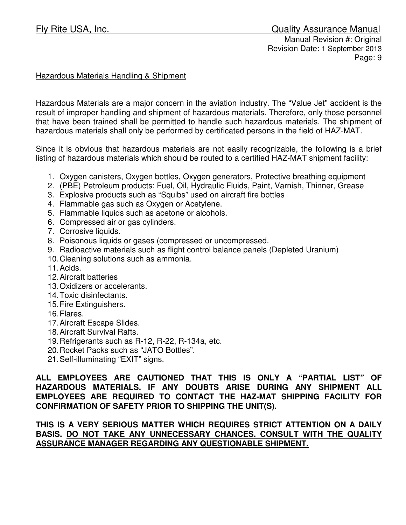# Fly Rite USA, Inc. **Example 20 and Secure 20 and Secure 20 and Secure 20 and Security Assurance Manual**

Manual Revision #: Original Revision Date: 1 September 2013 Page: 9

### Hazardous Materials Handling & Shipment

Hazardous Materials are a major concern in the aviation industry. The "Value Jet" accident is the result of improper handling and shipment of hazardous materials. Therefore, only those personnel that have been trained shall be permitted to handle such hazardous materials. The shipment of hazardous materials shall only be performed by certificated persons in the field of HAZ-MAT.

Since it is obvious that hazardous materials are not easily recognizable, the following is a brief listing of hazardous materials which should be routed to a certified HAZ-MAT shipment facility:

- 1. Oxygen canisters, Oxygen bottles, Oxygen generators, Protective breathing equipment
- 2. (PBE) Petroleum products: Fuel, Oil, Hydraulic Fluids, Paint, Varnish, Thinner, Grease
- 3. Explosive products such as "Squibs" used on aircraft fire bottles
- 4. Flammable gas such as Oxygen or Acetylene.
- 5. Flammable liquids such as acetone or alcohols.
- 6. Compressed air or gas cylinders.
- 7. Corrosive liquids.
- 8. Poisonous liquids or gases (compressed or uncompressed.
- 9. Radioactive materials such as flight control balance panels (Depleted Uranium)
- 10. Cleaning solutions such as ammonia.
- 11. Acids.
- 12. Aircraft batteries
- 13. Oxidizers or accelerants.
- 14. Toxic disinfectants.
- 15. Fire Extinguishers.
- 16. Flares.
- 17. Aircraft Escape Slides.
- 18. Aircraft Survival Rafts.
- 19. Refrigerants such as R-12, R-22, R-134a, etc.
- 20. Rocket Packs such as "JATO Bottles".
- 21. Self-illuminating "EXIT" signs.

**ALL EMPLOYEES ARE CAUTIONED THAT THIS IS ONLY A "PARTIAL LIST" OF HAZARDOUS MATERIALS. IF ANY DOUBTS ARISE DURING ANY SHIPMENT ALL EMPLOYEES ARE REQUIRED TO CONTACT THE HAZ-MAT SHIPPING FACILITY FOR CONFIRMATION OF SAFETY PRIOR TO SHIPPING THE UNIT(S).** 

**THIS IS A VERY SERIOUS MATTER WHICH REQUIRES STRICT ATTENTION ON A DAILY BASIS. DO NOT TAKE ANY UNNECESSARY CHANCES. CONSULT WITH THE QUALITY ASSURANCE MANAGER REGARDING ANY QUESTIONABLE SHIPMENT.**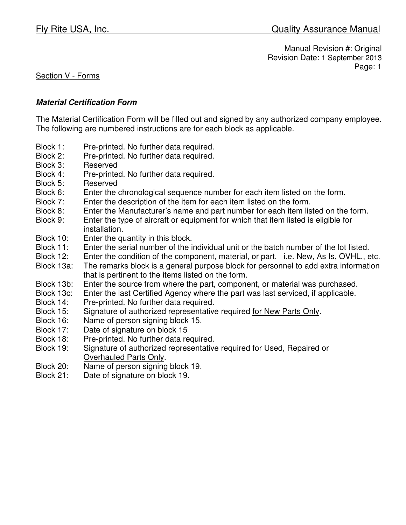### Section V - Forms

#### **Material Certification Form**

The Material Certification Form will be filled out and signed by any authorized company employee. The following are numbered instructions are for each block as applicable.

- Block 1: Pre-printed. No further data required.
- Block 2: Pre-printed. No further data required.
- Block 3: Reserved
- Block 4: Pre-printed. No further data required.
- Block 5: Reserved
- Block 6: Enter the chronological sequence number for each item listed on the form.
- Block 7: Enter the description of the item for each item listed on the form.
- Block 8: Enter the Manufacturer's name and part number for each item listed on the form.
- Block 9: Enter the type of aircraft or equipment for which that item listed is eligible for installation.
- Block 10: Enter the quantity in this block.
- Block 11: Enter the serial number of the individual unit or the batch number of the lot listed.
- Block 12: Enter the condition of the component, material, or part. i.e. New, As Is, OVHL., etc.
- Block 13a: The remarks block is a general purpose block for personnel to add extra information that is pertinent to the items listed on the form.
- Block 13b: Enter the source from where the part, component, or material was purchased.
- Block 13c: Enter the last Certified Agency where the part was last serviced, if applicable.
- Block 14: Pre-printed. No further data required.
- Block 15: Signature of authorized representative required for New Parts Only.
- Block 16: Name of person signing block 15.
- Block 17: Date of signature on block 15
- Block 18: Pre-printed. No further data required.
- Block 19: Signature of authorized representative required for Used, Repaired or Overhauled Parts Only.
- Block 20: Name of person signing block 19.
- Block 21: Date of signature on block 19.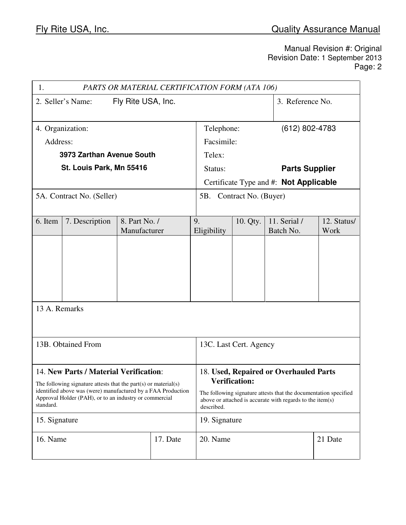| 1.                                                                                                                                    |                                        |                                                                                                                                             | PARTS OR MATERIAL CERTIFICATION FORM (ATA 106) |                        |                          |                                        |             |
|---------------------------------------------------------------------------------------------------------------------------------------|----------------------------------------|---------------------------------------------------------------------------------------------------------------------------------------------|------------------------------------------------|------------------------|--------------------------|----------------------------------------|-------------|
| 2. Seller's Name:<br>Fly Rite USA, Inc.                                                                                               |                                        |                                                                                                                                             |                                                |                        |                          | 3. Reference No.                       |             |
|                                                                                                                                       | 4. Organization:                       |                                                                                                                                             |                                                | Telephone:             |                          | $(612)$ 802-4783                       |             |
| Address:                                                                                                                              |                                        |                                                                                                                                             |                                                | Facsimile:             |                          |                                        |             |
|                                                                                                                                       | 3973 Zarthan Avenue South              |                                                                                                                                             |                                                | Telex:                 |                          |                                        |             |
|                                                                                                                                       | St. Louis Park, Mn 55416               |                                                                                                                                             |                                                | Status:                |                          | <b>Parts Supplier</b>                  |             |
|                                                                                                                                       |                                        |                                                                                                                                             |                                                |                        |                          | Certificate Type and #: Not Applicable |             |
|                                                                                                                                       | 5A. Contract No. (Seller)              |                                                                                                                                             |                                                |                        | 5B. Contract No. (Buyer) |                                        |             |
| 6. Item                                                                                                                               | 7. Description                         | 8. Part No. /                                                                                                                               |                                                | 9.                     | 10. Qty.                 | 11. Serial /                           | 12. Status/ |
|                                                                                                                                       |                                        | Manufacturer                                                                                                                                |                                                | Eligibility            |                          | Batch No.                              | Work        |
|                                                                                                                                       |                                        |                                                                                                                                             |                                                |                        |                          |                                        |             |
|                                                                                                                                       |                                        |                                                                                                                                             |                                                |                        |                          |                                        |             |
|                                                                                                                                       |                                        |                                                                                                                                             |                                                |                        |                          |                                        |             |
|                                                                                                                                       |                                        |                                                                                                                                             |                                                |                        |                          |                                        |             |
| 13 A. Remarks                                                                                                                         |                                        |                                                                                                                                             |                                                |                        |                          |                                        |             |
|                                                                                                                                       |                                        |                                                                                                                                             |                                                |                        |                          |                                        |             |
|                                                                                                                                       |                                        |                                                                                                                                             |                                                |                        |                          |                                        |             |
|                                                                                                                                       | 13B. Obtained From                     |                                                                                                                                             |                                                | 13C. Last Cert. Agency |                          |                                        |             |
|                                                                                                                                       |                                        |                                                                                                                                             |                                                |                        |                          |                                        |             |
|                                                                                                                                       | 14. New Parts / Material Verification: |                                                                                                                                             |                                                |                        |                          | 18. Used, Repaired or Overhauled Parts |             |
| The following signature attests that the part $(s)$ or material $(s)$<br>identified above was (were) manufactured by a FAA Production |                                        | <b>Verification:</b>                                                                                                                        |                                                |                        |                          |                                        |             |
| Approval Holder (PAH), or to an industry or commercial<br>standard.                                                                   |                                        | The following signature attests that the documentation specified<br>above or attached is accurate with regards to the item(s)<br>described. |                                                |                        |                          |                                        |             |
| 15. Signature                                                                                                                         |                                        |                                                                                                                                             |                                                | 19. Signature          |                          |                                        |             |
| 16. Name                                                                                                                              |                                        |                                                                                                                                             | 17. Date                                       | 20. Name               |                          |                                        | 21 Date     |
|                                                                                                                                       |                                        |                                                                                                                                             |                                                |                        |                          |                                        |             |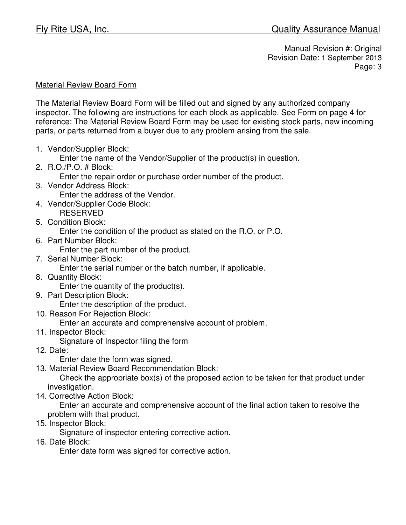## Material Review Board Form

The Material Review Board Form will be filled out and signed by any authorized company inspector. The following are instructions for each block as applicable. See Form on page 4 for reference: The Material Review Board Form may be used for existing stock parts, new incoming parts, or parts returned from a buyer due to any problem arising from the sale.

1. Vendor/Supplier Block:

Enter the name of the Vendor/Supplier of the product(s) in question.

2. R.O./P.O. # Block:

Enter the repair order or purchase order number of the product.

3. Vendor Address Block:

Enter the address of the Vendor.

- 4. Vendor/Supplier Code Block: RESERVED
- 5. Condition Block:

Enter the condition of the product as stated on the R.O. or P.O.

6. Part Number Block:

Enter the part number of the product.

7. Serial Number Block:

Enter the serial number or the batch number, if applicable.

- 8. Quantity Block: Enter the quantity of the product(s).
- 9. Part Description Block:

Enter the description of the product.

10. Reason For Rejection Block:

Enter an accurate and comprehensive account of problem,

11. Inspector Block:

Signature of Inspector filing the form

12. Date:

Enter date the form was signed.

13. Material Review Board Recommendation Block:

 Check the appropriate box(s) of the proposed action to be taken for that product under investigation.

14. Corrective Action Block:

 Enter an accurate and comprehensive account of the final action taken to resolve the problem with that product.

15. Inspector Block:

Signature of inspector entering corrective action.

16. Date Block:

Enter date form was signed for corrective action.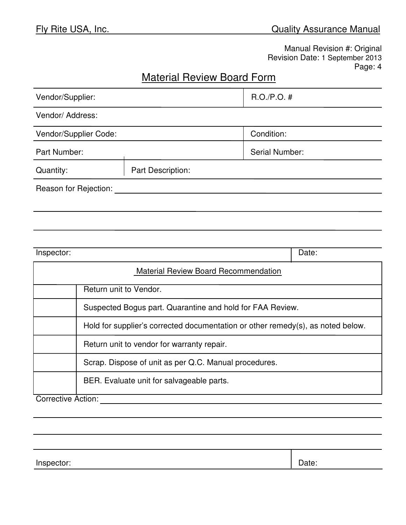# Material Review Board Form

| Vendor/Supplier:                                          |                                                                                 |                                             | $R.O./P.O.$ #  |  |  |
|-----------------------------------------------------------|---------------------------------------------------------------------------------|---------------------------------------------|----------------|--|--|
| Vendor/ Address:                                          |                                                                                 |                                             |                |  |  |
| Vendor/Supplier Code:                                     |                                                                                 |                                             | Condition:     |  |  |
| Part Number:                                              |                                                                                 |                                             | Serial Number: |  |  |
| Quantity:                                                 |                                                                                 | Part Description:                           |                |  |  |
| Reason for Rejection:                                     |                                                                                 |                                             |                |  |  |
|                                                           |                                                                                 |                                             |                |  |  |
|                                                           |                                                                                 |                                             |                |  |  |
|                                                           |                                                                                 |                                             |                |  |  |
| Inspector:<br>Date:                                       |                                                                                 |                                             |                |  |  |
|                                                           |                                                                                 | <b>Material Review Board Recommendation</b> |                |  |  |
|                                                           | Return unit to Vendor.                                                          |                                             |                |  |  |
| Suspected Bogus part. Quarantine and hold for FAA Review. |                                                                                 |                                             |                |  |  |
|                                                           | Hold for supplier's corrected documentation or other remedy(s), as noted below. |                                             |                |  |  |
|                                                           | Return unit to vendor for warranty repair.                                      |                                             |                |  |  |
|                                                           | Scrap. Dispose of unit as per Q.C. Manual procedures.                           |                                             |                |  |  |
| BER. Evaluate unit for salvageable parts.                 |                                                                                 |                                             |                |  |  |
| Corrective Action:                                        |                                                                                 |                                             |                |  |  |
|                                                           |                                                                                 |                                             |                |  |  |

Inspector:  $\vert$  Date: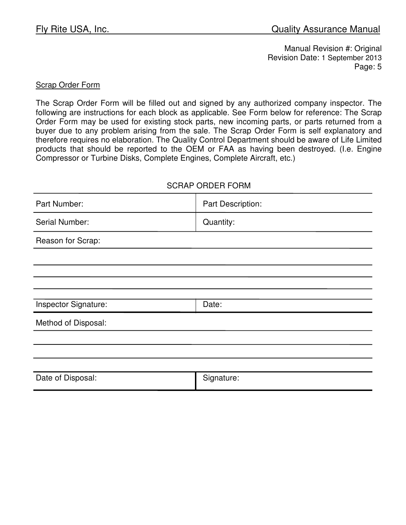#### Scrap Order Form

The Scrap Order Form will be filled out and signed by any authorized company inspector. The following are instructions for each block as applicable. See Form below for reference: The Scrap Order Form may be used for existing stock parts, new incoming parts, or parts returned from a buyer due to any problem arising from the sale. The Scrap Order Form is self explanatory and therefore requires no elaboration. The Quality Control Department should be aware of Life Limited products that should be reported to the OEM or FAA as having been destroyed. (I.e. Engine Compressor or Turbine Disks, Complete Engines, Complete Aircraft, etc.)

## SCRAP ORDER FORM

| Part Number:         | Part Description: |
|----------------------|-------------------|
| Serial Number:       | Quantity:         |
| Reason for Scrap:    |                   |
|                      |                   |
|                      |                   |
|                      |                   |
| Inspector Signature: | Date:             |
| Method of Disposal:  |                   |
|                      |                   |
|                      |                   |
|                      |                   |
| Date of Disposal:    | Signature:        |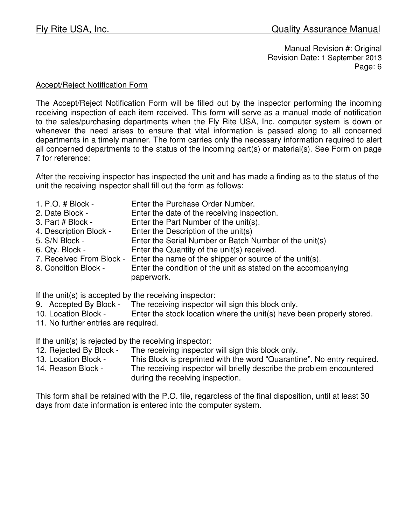### Accept/Reject Notification Form

The Accept/Reject Notification Form will be filled out by the inspector performing the incoming receiving inspection of each item received. This form will serve as a manual mode of notification to the sales/purchasing departments when the Fly Rite USA, Inc. computer system is down or whenever the need arises to ensure that vital information is passed along to all concerned departments in a timely manner. The form carries only the necessary information required to alert all concerned departments to the status of the incoming part(s) or material(s). See Form on page 7 for reference:

After the receiving inspector has inspected the unit and has made a finding as to the status of the unit the receiving inspector shall fill out the form as follows:

- 1. P.O. # Block Enter the Purchase Order Number.
- 2. Date Block Enter the date of the receiving inspection.
- 3. Part # Block Enter the Part Number of the unit(s).
- 4. Description Block Enter the Description of the unit(s)
- 5. S/N Block Enter the Serial Number or Batch Number of the unit(s)
- 6. Qty. Block Enter the Quantity of the unit(s) received.
- 7. Received From Block Enter the name of the shipper or source of the unit(s).
- 8. Condition Block Enter the condition of the unit as stated on the accompanying paperwork.

If the unit(s) is accepted by the receiving inspector:

- 9. Accepted By Block The receiving inspector will sign this block only.
- 10. Location Block Enter the stock location where the unit(s) have been properly stored.
- 11. No further entries are required.

If the unit(s) is rejected by the receiving inspector:

- 12. Rejected By Block The receiving inspector will sign this block only.
- 13. Location Block This Block is preprinted with the word "Quarantine". No entry required.
- 14. Reason Block The receiving inspector will briefly describe the problem encountered during the receiving inspection.

This form shall be retained with the P.O. file, regardless of the final disposition, until at least 30 days from date information is entered into the computer system.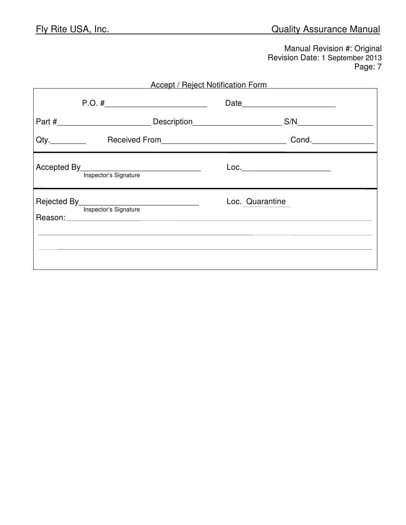|         |                                      | Accept / Reject Notification Form |  |
|---------|--------------------------------------|-----------------------------------|--|
|         |                                      | S/N                               |  |
| $Qty$ . |                                      |                                   |  |
|         | Accepted By<br>Inspector's Signature | Loc.__________________________    |  |
|         | Rejected By<br>Inspector's Signature | Loc. Quarantine                   |  |
|         |                                      |                                   |  |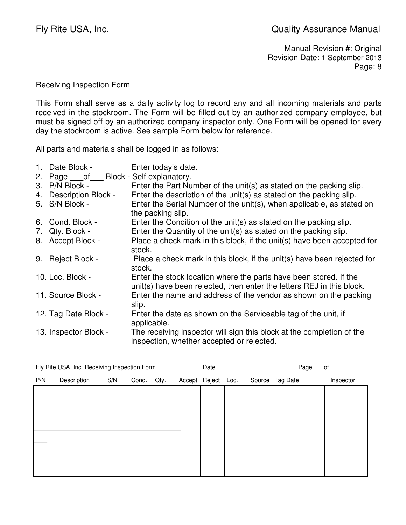#### Receiving Inspection Form

This Form shall serve as a daily activity log to record any and all incoming materials and parts received in the stockroom. The Form will be filled out by an authorized company employee, but must be signed off by an authorized company inspector only. One Form will be opened for every day the stockroom is active. See sample Form below for reference.

All parts and materials shall be logged in as follows:

- 1. Date Block Enter today's date.
- 2. Page \_\_\_ of \_\_\_ Block Self explanatory.
- 3. P/N Block Enter the Part Number of the unit(s) as stated on the packing slip.
- 4. Description Block Enter the description of the unit(s) as stated on the packing slip.
- 5. S/N Block Enter the Serial Number of the unit(s), when applicable, as stated on the packing slip.
- 6. Cond. Block Enter the Condition of the unit(s) as stated on the packing slip.
- 7. Qty. Block Enter the Quantity of the unit(s) as stated on the packing slip.
- 8. Accept Block Place a check mark in this block, if the unit(s) have been accepted for stock.
- 9. Reject Block Place a check mark in this block, if the unit(s) have been rejected for stock.
- 10. Loc. Block Enter the stock location where the parts have been stored. If the unit(s) have been rejected, then enter the letters REJ in this block.
- 11. Source Block Enter the name and address of the vendor as shown on the packing slip.
- 12. Tag Date Block Enter the date as shown on the Serviceable tag of the unit, if applicable.
- 13. Inspector Block The receiving inspector will sign this block at the completion of the inspection, whether accepted or rejected.

|     | Fly Rite USA, Inc. Receiving Inspection Form |     |       |      | Date               |  | Page ___ of     |           |
|-----|----------------------------------------------|-----|-------|------|--------------------|--|-----------------|-----------|
| P/N | Description                                  | S/N | Cond. | Qty. | Accept Reject Loc. |  | Source Tag Date | Inspector |
|     |                                              |     |       |      |                    |  |                 |           |
|     |                                              |     |       |      |                    |  |                 |           |
|     |                                              |     |       |      |                    |  |                 |           |
|     |                                              |     |       |      |                    |  |                 |           |
|     |                                              |     |       |      |                    |  |                 |           |
|     |                                              |     |       |      |                    |  |                 |           |
|     |                                              |     |       |      |                    |  |                 |           |
|     |                                              |     |       |      |                    |  |                 |           |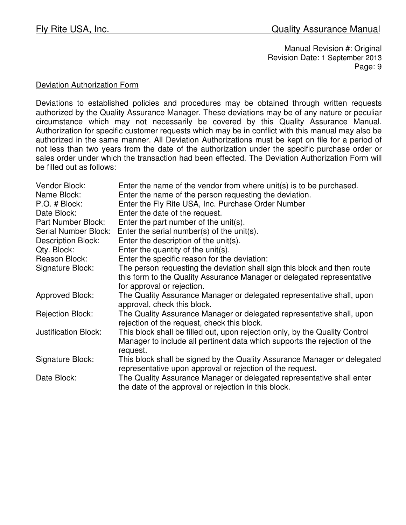### Deviation Authorization Form

Deviations to established policies and procedures may be obtained through written requests authorized by the Quality Assurance Manager. These deviations may be of any nature or peculiar circumstance which may not necessarily be covered by this Quality Assurance Manual. Authorization for specific customer requests which may be in conflict with this manual may also be authorized in the same manner. All Deviation Authorizations must be kept on file for a period of not less than two years from the date of the authorization under the specific purchase order or sales order under which the transaction had been effected. The Deviation Authorization Form will be filled out as follows:

| Vendor Block:               | Enter the name of the vendor from where unit(s) is to be purchased.         |
|-----------------------------|-----------------------------------------------------------------------------|
| Name Block:                 | Enter the name of the person requesting the deviation.                      |
| P.O. # Block:               | Enter the Fly Rite USA, Inc. Purchase Order Number                          |
| Date Block:                 | Enter the date of the request.                                              |
| Part Number Block:          | Enter the part number of the unit(s).                                       |
| Serial Number Block:        | Enter the serial number(s) of the unit(s).                                  |
| <b>Description Block:</b>   | Enter the description of the unit(s).                                       |
| Qty. Block:                 | Enter the quantity of the unit(s).                                          |
| Reason Block:               | Enter the specific reason for the deviation:                                |
| Signature Block:            | The person requesting the deviation shall sign this block and then route    |
|                             | this form to the Quality Assurance Manager or delegated representative      |
|                             | for approval or rejection.                                                  |
| <b>Approved Block:</b>      | The Quality Assurance Manager or delegated representative shall, upon       |
|                             | approval, check this block.                                                 |
| <b>Rejection Block:</b>     | The Quality Assurance Manager or delegated representative shall, upon       |
|                             | rejection of the request, check this block.                                 |
| <b>Justification Block:</b> | This block shall be filled out, upon rejection only, by the Quality Control |
|                             | Manager to include all pertinent data which supports the rejection of the   |
|                             | request.                                                                    |
| Signature Block:            | This block shall be signed by the Quality Assurance Manager or delegated    |
|                             | representative upon approval or rejection of the request.                   |
| Date Block:                 | The Quality Assurance Manager or delegated representative shall enter       |
|                             | the date of the approval or rejection in this block.                        |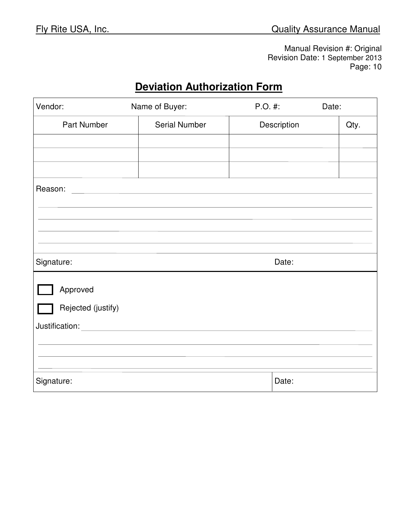# **Deviation Authorization Form**

| Vendor:            | Name of Buyer:       | $P.O.$ #:   | Date: |      |
|--------------------|----------------------|-------------|-------|------|
| Part Number        | <b>Serial Number</b> | Description |       | Qty. |
|                    |                      |             |       |      |
|                    |                      |             |       |      |
|                    |                      |             |       |      |
| Reason:            |                      |             |       |      |
|                    |                      |             |       |      |
|                    |                      |             |       |      |
|                    |                      |             |       |      |
|                    |                      |             |       |      |
| Signature:         |                      | Date:       |       |      |
| Approved           |                      |             |       |      |
|                    |                      |             |       |      |
| Rejected (justify) |                      |             |       |      |
| Justification:     |                      |             |       |      |
|                    |                      |             |       |      |
|                    |                      |             |       |      |
| Signature:         |                      | Date:       |       |      |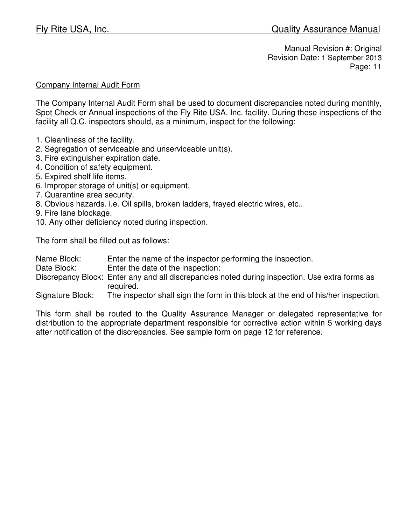## Company Internal Audit Form

The Company Internal Audit Form shall be used to document discrepancies noted during monthly, Spot Check or Annual inspections of the Fly Rite USA, Inc. facility. During these inspections of the facility all Q.C. inspectors should, as a minimum, inspect for the following:

- 1. Cleanliness of the facility.
- 2. Segregation of serviceable and unserviceable unit(s).
- 3. Fire extinguisher expiration date.
- 4. Condition of safety equipment.
- 5. Expired shelf life items.
- 6. Improper storage of unit(s) or equipment.
- 7. Quarantine area security.
- 8. Obvious hazards. i.e. Oil spills, broken ladders, frayed electric wires, etc..
- 9. Fire lane blockage.
- 10. Any other deficiency noted during inspection.

The form shall be filled out as follows:

| Name Block: | Enter the name of the inspector performing the inspection. |
|-------------|------------------------------------------------------------|
|-------------|------------------------------------------------------------|

- Date Block: Enter the date of the inspection:
- Discrepancy Block: Enter any and all discrepancies noted during inspection. Use extra forms as required.

Signature Block: The inspector shall sign the form in this block at the end of his/her inspection.

This form shall be routed to the Quality Assurance Manager or delegated representative for distribution to the appropriate department responsible for corrective action within 5 working days after notification of the discrepancies. See sample form on page 12 for reference.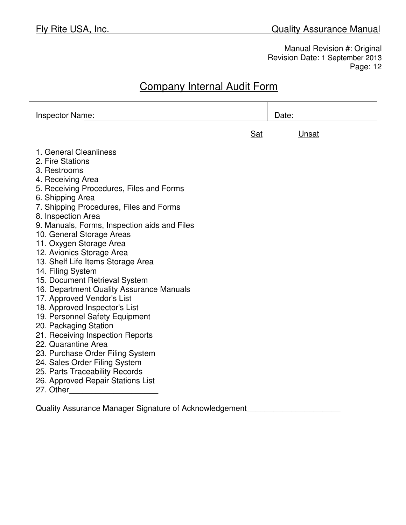# Company Internal Audit Form

| <b>Inspector Name:</b>                                                                                                                                                                                                                                                                                                                                                                                                                                                                                                                                                                                                                                                                                                                                                                                                                                                                               | Date: |
|------------------------------------------------------------------------------------------------------------------------------------------------------------------------------------------------------------------------------------------------------------------------------------------------------------------------------------------------------------------------------------------------------------------------------------------------------------------------------------------------------------------------------------------------------------------------------------------------------------------------------------------------------------------------------------------------------------------------------------------------------------------------------------------------------------------------------------------------------------------------------------------------------|-------|
| Sat                                                                                                                                                                                                                                                                                                                                                                                                                                                                                                                                                                                                                                                                                                                                                                                                                                                                                                  | Unsat |
| 1. General Cleanliness<br>2. Fire Stations<br>3. Restrooms<br>4. Receiving Area<br>5. Receiving Procedures, Files and Forms<br>6. Shipping Area<br>7. Shipping Procedures, Files and Forms<br>8. Inspection Area<br>9. Manuals, Forms, Inspection aids and Files<br>10. General Storage Areas<br>11. Oxygen Storage Area<br>12. Avionics Storage Area<br>13. Shelf Life Items Storage Area<br>14. Filing System<br>15. Document Retrieval System<br>16. Department Quality Assurance Manuals<br>17. Approved Vendor's List<br>18. Approved Inspector's List<br>19. Personnel Safety Equipment<br>20. Packaging Station<br>21. Receiving Inspection Reports<br>22. Quarantine Area<br>23. Purchase Order Filing System<br>24. Sales Order Filing System<br>25. Parts Traceability Records<br>26. Approved Repair Stations List<br>27. Other<br>Quality Assurance Manager Signature of Acknowledgement |       |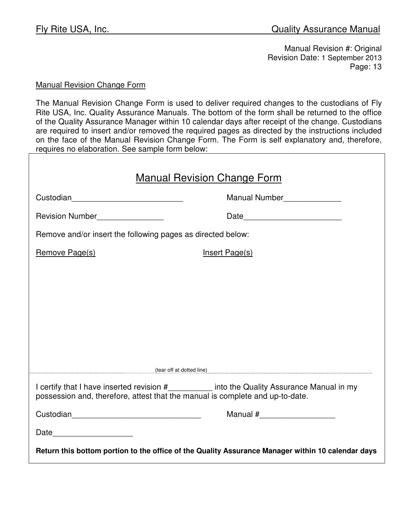### Manual Revision Change Form

The Manual Revision Change Form is used to deliver required changes to the custodians of Fly Rite USA, Inc. Quality Assurance Manuals. The bottom of the form shall be returned to the office of the Quality Assurance Manager within 10 calendar days after receipt of the change. Custodians are required to insert and/or removed the required pages as directed by the instructions included on the face of the Manual Revision Change Form. The Form is self explanatory and, therefore, requires no elaboration. See sample form below:

| <b>Manual Revision Change Form</b>                                                                |                                                                                            |  |  |  |  |
|---------------------------------------------------------------------------------------------------|--------------------------------------------------------------------------------------------|--|--|--|--|
|                                                                                                   | Manual Number______________                                                                |  |  |  |  |
| Revision Number_________________                                                                  | Date__________________________                                                             |  |  |  |  |
| Remove and/or insert the following pages as directed below:                                       |                                                                                            |  |  |  |  |
| Remove Page(s)                                                                                    | Insert Page(s)                                                                             |  |  |  |  |
|                                                                                                   |                                                                                            |  |  |  |  |
|                                                                                                   |                                                                                            |  |  |  |  |
|                                                                                                   |                                                                                            |  |  |  |  |
|                                                                                                   |                                                                                            |  |  |  |  |
|                                                                                                   |                                                                                            |  |  |  |  |
|                                                                                                   | (tear off at dotted line) (tear off at dotted line)                                        |  |  |  |  |
| possession and, therefore, attest that the manual is complete and up-to-date.                     | I certify that I have inserted revision #_________ into the Quality Assurance Manual in my |  |  |  |  |
|                                                                                                   |                                                                                            |  |  |  |  |
| Date __________________                                                                           |                                                                                            |  |  |  |  |
| Return this bottom portion to the office of the Quality Assurance Manager within 10 calendar days |                                                                                            |  |  |  |  |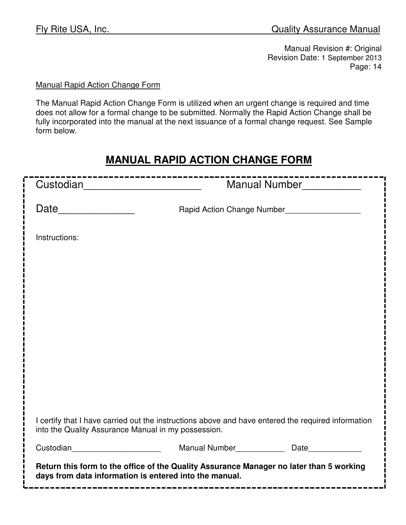Ē

Manual Revision #: Original Revision Date: 1 September 2013 Page: 14

# Manual Rapid Action Change Form

The Manual Rapid Action Change Form is utilized when an urgent change is required and time does not allow for a formal change to be submitted. Normally the Rapid Action Change shall be fully incorporated into the manual at the next issuance of a formal change request. See Sample form below.

# **MANUAL RAPID ACTION CHANGE FORM**

| Custodian_________________________                  |                                                                                                                                                   | Manual Number                               |
|-----------------------------------------------------|---------------------------------------------------------------------------------------------------------------------------------------------------|---------------------------------------------|
|                                                     |                                                                                                                                                   | Rapid Action Change Number_________________ |
| Instructions:                                       |                                                                                                                                                   |                                             |
|                                                     |                                                                                                                                                   |                                             |
|                                                     |                                                                                                                                                   |                                             |
|                                                     |                                                                                                                                                   |                                             |
|                                                     |                                                                                                                                                   |                                             |
|                                                     |                                                                                                                                                   |                                             |
|                                                     |                                                                                                                                                   |                                             |
| into the Quality Assurance Manual in my possession. | I certify that I have carried out the instructions above and have entered the required information                                                |                                             |
| Custodian <b>Custodian Custodian</b>                |                                                                                                                                                   | Manual Number<br>Date<br>Date               |
|                                                     | Return this form to the office of the Quality Assurance Manager no later than 5 working<br>days from data information is entered into the manual. |                                             |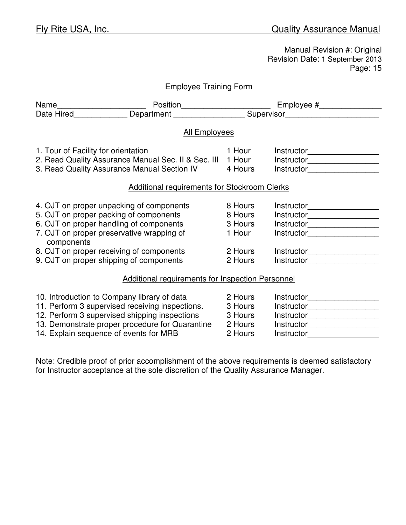| <b>Employee Training Form</b>       |                                                            |         |                                |  |
|-------------------------------------|------------------------------------------------------------|---------|--------------------------------|--|
|                                     |                                                            |         |                                |  |
|                                     |                                                            |         |                                |  |
|                                     | <b>All Employees</b>                                       |         |                                |  |
| 1. Tour of Facility for orientation |                                                            | 1 Hour  | Instructor____________________ |  |
|                                     | 2. Read Quality Assurance Manual Sec. II & Sec. III 1 Hour |         |                                |  |
|                                     | 3. Read Quality Assurance Manual Section IV                | 4 Hours | Instructor___________________  |  |
|                                     | <b>Additional requirements for Stockroom Clerks</b>        |         |                                |  |
|                                     | 4. OJT on proper unpacking of components                   | 8 Hours | Instructor____________________ |  |
|                                     | 5. OJT on proper packing of components                     | 8 Hours |                                |  |
|                                     | 6. OJT on proper handling of components                    | 3 Hours | Instructor___________________  |  |
| components                          | 7. OJT on proper preservative wrapping of                  | 1 Hour  | Instructor___________________  |  |
|                                     | 8. OJT on proper receiving of components                   | 2 Hours | Instructor____________________ |  |
|                                     | 9. OJT on proper shipping of components                    | 2 Hours | Instructor___________________  |  |
|                                     | <b>Additional requirements for Inspection Personnel</b>    |         |                                |  |
|                                     | 10. Introduction to Company library of data                | 2 Hours |                                |  |
|                                     | 11. Perform 3 supervised receiving inspections.            | 3 Hours | Instructor___________________  |  |
|                                     | 12. Perform 3 supervised shipping inspections              | 3 Hours | Instructor___________________  |  |
|                                     | 13. Demonstrate proper procedure for Quarantine            | 2 Hours | Instructor__________________   |  |
|                                     | 14. Explain sequence of events for MRB                     | 2 Hours |                                |  |

Note: Credible proof of prior accomplishment of the above requirements is deemed satisfactory for Instructor acceptance at the sole discretion of the Quality Assurance Manager.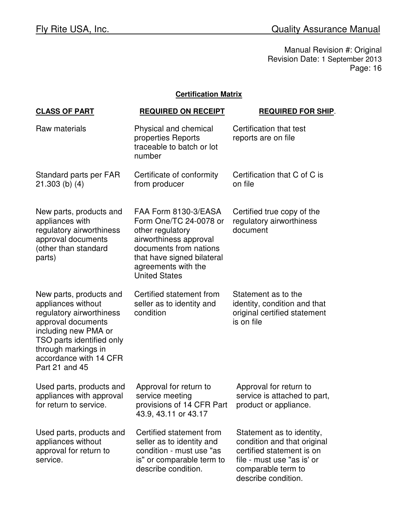## **Certification Matrix**

| <b>CLASS OF PART</b>                                                                                                                                                                                                    | <b>REQUIRED ON RECEIPT</b>                                                                                                                                                                          | <b>REQUIRED FOR SHIP.</b>                                                                                                                                        |
|-------------------------------------------------------------------------------------------------------------------------------------------------------------------------------------------------------------------------|-----------------------------------------------------------------------------------------------------------------------------------------------------------------------------------------------------|------------------------------------------------------------------------------------------------------------------------------------------------------------------|
| Raw materials                                                                                                                                                                                                           | Physical and chemical<br>properties Reports<br>traceable to batch or lot<br>number                                                                                                                  | Certification that test<br>reports are on file                                                                                                                   |
| Standard parts per FAR<br>$21.303$ (b) (4)                                                                                                                                                                              | Certificate of conformity<br>from producer                                                                                                                                                          | Certification that C of C is<br>on file                                                                                                                          |
| New parts, products and<br>appliances with<br>regulatory airworthiness<br>approval documents<br>(other than standard<br>parts)                                                                                          | FAA Form 8130-3/EASA<br>Form One/TC 24-0078 or<br>other regulatory<br>airworthiness approval<br>documents from nations<br>that have signed bilateral<br>agreements with the<br><b>United States</b> | Certified true copy of the<br>regulatory airworthiness<br>document                                                                                               |
| New parts, products and<br>appliances without<br>regulatory airworthiness<br>approval documents<br>including new PMA or<br>TSO parts identified only<br>through markings in<br>accordance with 14 CFR<br>Part 21 and 45 | Certified statement from<br>seller as to identity and<br>condition                                                                                                                                  | Statement as to the<br>identity, condition and that<br>original certified statement<br>is on file                                                                |
| Used parts, products and<br>appliances with approval<br>for return to service.                                                                                                                                          | Approval for return to<br>service meeting<br>provisions of 14 CFR Part<br>43.9, 43.11 or 43.17                                                                                                      | Approval for return to<br>service is attached to part,<br>product or appliance.                                                                                  |
| Used parts, products and<br>appliances without<br>approval for return to<br>service.                                                                                                                                    | Certified statement from<br>seller as to identity and<br>condition - must use "as<br>is" or comparable term to<br>describe condition.                                                               | Statement as to identity,<br>condition and that original<br>certified statement is on<br>file - must use "as is' or<br>comparable term to<br>describe condition. |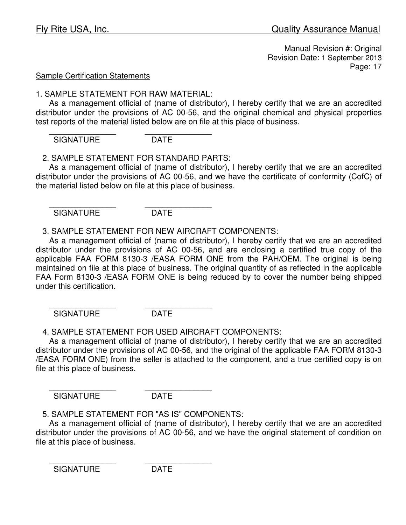### Sample Certification Statements

### 1. SAMPLE STATEMENT FOR RAW MATERIAL:

 As a management official of (name of distributor), I hereby certify that we are an accredited distributor under the provisions of AC 00-56, and the original chemical and physical properties test reports of the material listed below are on file at this place of business.

 $\overline{\phantom{a}}$  ,  $\overline{\phantom{a}}$  ,  $\overline{\phantom{a}}$  ,  $\overline{\phantom{a}}$  ,  $\overline{\phantom{a}}$  ,  $\overline{\phantom{a}}$  ,  $\overline{\phantom{a}}$  ,  $\overline{\phantom{a}}$  ,  $\overline{\phantom{a}}$  ,  $\overline{\phantom{a}}$  ,  $\overline{\phantom{a}}$  ,  $\overline{\phantom{a}}$  ,  $\overline{\phantom{a}}$  ,  $\overline{\phantom{a}}$  ,  $\overline{\phantom{a}}$  ,  $\overline{\phantom{a}}$ SIGNATURE DATE

2. SAMPLE STATEMENT FOR STANDARD PARTS:

 As a management official of (name of distributor), I hereby certify that we are an accredited distributor under the provisions of AC 00-56, and we have the certificate of conformity (CofC) of the material listed below on file at this place of business.

SIGNATURE DATE

 $\overline{\phantom{a}}$  ,  $\overline{\phantom{a}}$  ,  $\overline{\phantom{a}}$  ,  $\overline{\phantom{a}}$  ,  $\overline{\phantom{a}}$  ,  $\overline{\phantom{a}}$  ,  $\overline{\phantom{a}}$  ,  $\overline{\phantom{a}}$  ,  $\overline{\phantom{a}}$  ,  $\overline{\phantom{a}}$  ,  $\overline{\phantom{a}}$  ,  $\overline{\phantom{a}}$  ,  $\overline{\phantom{a}}$  ,  $\overline{\phantom{a}}$  ,  $\overline{\phantom{a}}$  ,  $\overline{\phantom{a}}$ 

3. SAMPLE STATEMENT FOR NEW AIRCRAFT COMPONENTS:

 As a management official of (name of distributor), I hereby certify that we are an accredited distributor under the provisions of AC 00-56, and are enclosing a certified true copy of the applicable FAA FORM 8130-3 /EASA FORM ONE from the PAH/OEM. The original is being maintained on file at this place of business. The original quantity of as reflected in the applicable FAA Form 8130-3 /EASA FORM ONE is being reduced by to cover the number being shipped under this certification.

 $\overline{\phantom{a}}$  ,  $\overline{\phantom{a}}$  ,  $\overline{\phantom{a}}$  ,  $\overline{\phantom{a}}$  ,  $\overline{\phantom{a}}$  ,  $\overline{\phantom{a}}$  ,  $\overline{\phantom{a}}$  ,  $\overline{\phantom{a}}$  ,  $\overline{\phantom{a}}$  ,  $\overline{\phantom{a}}$  ,  $\overline{\phantom{a}}$  ,  $\overline{\phantom{a}}$  ,  $\overline{\phantom{a}}$  ,  $\overline{\phantom{a}}$  ,  $\overline{\phantom{a}}$  ,  $\overline{\phantom{a}}$ SIGNATURE DATE

4. SAMPLE STATEMENT FOR USED AIRCRAFT COMPONENTS:

 As a management official of (name of distributor), I hereby certify that we are an accredited distributor under the provisions of AC 00-56, and the original of the applicable FAA FORM 8130-3 /EASA FORM ONE) from the seller is attached to the component, and a true certified copy is on file at this place of business.

 $\overline{\phantom{a}}$  ,  $\overline{\phantom{a}}$  ,  $\overline{\phantom{a}}$  ,  $\overline{\phantom{a}}$  ,  $\overline{\phantom{a}}$  ,  $\overline{\phantom{a}}$  ,  $\overline{\phantom{a}}$  ,  $\overline{\phantom{a}}$  ,  $\overline{\phantom{a}}$  ,  $\overline{\phantom{a}}$  ,  $\overline{\phantom{a}}$  ,  $\overline{\phantom{a}}$  ,  $\overline{\phantom{a}}$  ,  $\overline{\phantom{a}}$  ,  $\overline{\phantom{a}}$  ,  $\overline{\phantom{a}}$ SIGNATURE DATE

5. SAMPLE STATEMENT FOR "AS IS" COMPONENTS:

 As a management official of (name of distributor), I hereby certify that we are an accredited distributor under the provisions of AC 00-56, and we have the original statement of condition on file at this place of business.

 $\overline{\phantom{a}}$  ,  $\overline{\phantom{a}}$  ,  $\overline{\phantom{a}}$  ,  $\overline{\phantom{a}}$  ,  $\overline{\phantom{a}}$  ,  $\overline{\phantom{a}}$  ,  $\overline{\phantom{a}}$  ,  $\overline{\phantom{a}}$  ,  $\overline{\phantom{a}}$  ,  $\overline{\phantom{a}}$  ,  $\overline{\phantom{a}}$  ,  $\overline{\phantom{a}}$  ,  $\overline{\phantom{a}}$  ,  $\overline{\phantom{a}}$  ,  $\overline{\phantom{a}}$  ,  $\overline{\phantom{a}}$ SIGNATURE DATE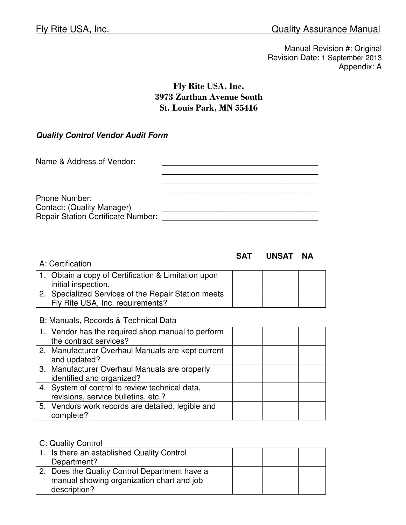# Fly Rite USA, Inc. 3973 Zarthan Avenue South St. Louis Park, MN 55416

## **Quality Control Vendor Audit Form**

### **SAT UNSAT NA**

| A: Certification                                    |  |  |
|-----------------------------------------------------|--|--|
| 1. Obtain a copy of Certification & Limitation upon |  |  |
| initial inspection.                                 |  |  |
| 2. Specialized Services of the Repair Station meets |  |  |
| Fly Rite USA, Inc. requirements?                    |  |  |

#### B: Manuals, Records & Technical Data

| 1. Vendor has the required shop manual to perform<br>the contract services?           |  |  |
|---------------------------------------------------------------------------------------|--|--|
| 2. Manufacturer Overhaul Manuals are kept current<br>and updated?                     |  |  |
| 3. Manufacturer Overhaul Manuals are properly<br>identified and organized?            |  |  |
| 4. System of control to review technical data,<br>revisions, service bulletins, etc.? |  |  |
| 5. Vendors work records are detailed, legible and<br>complete?                        |  |  |

#### C: Quality Control

| 1. Is there an established Quality Control<br>Department?                                                  |  |  |
|------------------------------------------------------------------------------------------------------------|--|--|
| 2. Does the Quality Control Department have a<br>manual showing organization chart and job<br>description? |  |  |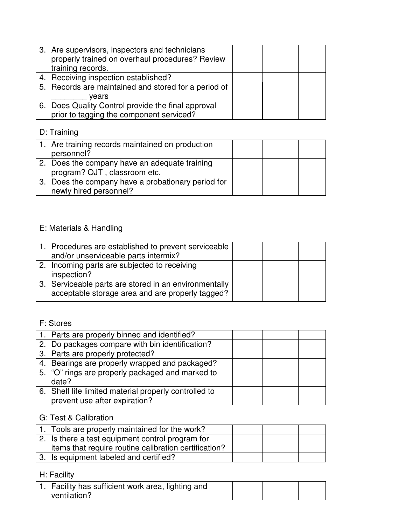| 3. Are supervisors, inspectors and technicians<br>properly trained on overhaul procedures? Review<br>training records. |  |  |
|------------------------------------------------------------------------------------------------------------------------|--|--|
| 4. Receiving inspection established?                                                                                   |  |  |
| 5. Records are maintained and stored for a period of                                                                   |  |  |
| vears                                                                                                                  |  |  |
| 6. Does Quality Control provide the final approval                                                                     |  |  |
| prior to tagging the component serviced?                                                                               |  |  |

# D: Training

| 1. Are training records maintained on production<br>personnel?                |  |  |
|-------------------------------------------------------------------------------|--|--|
| 2. Does the company have an adequate training<br>program? OJT, classroom etc. |  |  |
| 3. Does the company have a probationary period for<br>newly hired personnel?  |  |  |

# E: Materials & Handling

| 1. Procedures are established to prevent serviceable<br>and/or unserviceable parts intermix?              |  |  |
|-----------------------------------------------------------------------------------------------------------|--|--|
| 2. Incoming parts are subjected to receiving<br>inspection?                                               |  |  |
| 3. Serviceable parts are stored in an environmentally<br>acceptable storage area and are properly tagged? |  |  |

# F: Stores

| 1. Parts are properly binned and identified?          |  |  |
|-------------------------------------------------------|--|--|
| 2. Do packages compare with bin identification?       |  |  |
| 3. Parts are properly protected?                      |  |  |
| 4. Bearings are properly wrapped and packaged?        |  |  |
| 5. "O" rings are properly packaged and marked to      |  |  |
| date?                                                 |  |  |
| 6. Shelf life limited material properly controlled to |  |  |
| prevent use after expiration?                         |  |  |

# G: Test & Calibration

| 1. Tools are properly maintained for the work?        |  |  |
|-------------------------------------------------------|--|--|
| 2. Is there a test equipment control program for      |  |  |
| items that require routine calibration certification? |  |  |
| 3. Is equipment labeled and certified?                |  |  |

# H: Facility

| 1. Facility has sufficient work area, lighting and |  |  |
|----------------------------------------------------|--|--|
| ventilation?                                       |  |  |